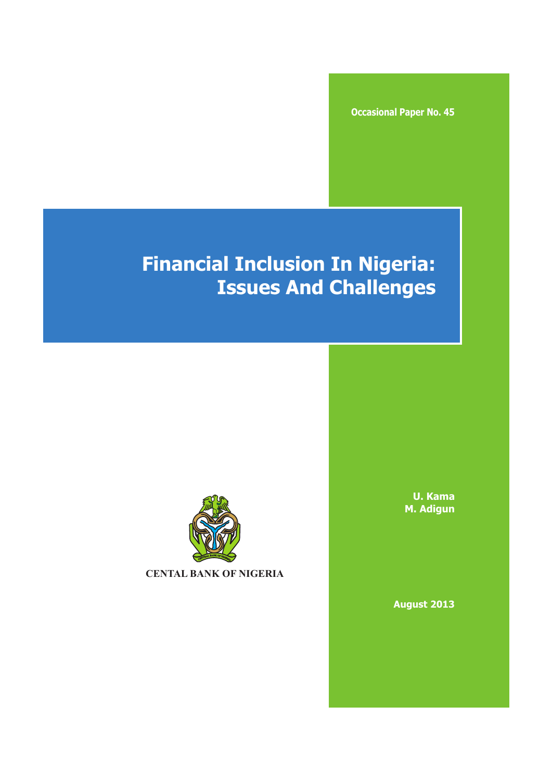**Occasional Paper No. 45**

# **Financial Inclusion In Nigeria: Issues And Challenges**



**CENTAL BANK OF NIGERIA**

**U. Kama M. Adigun**

**August 2013**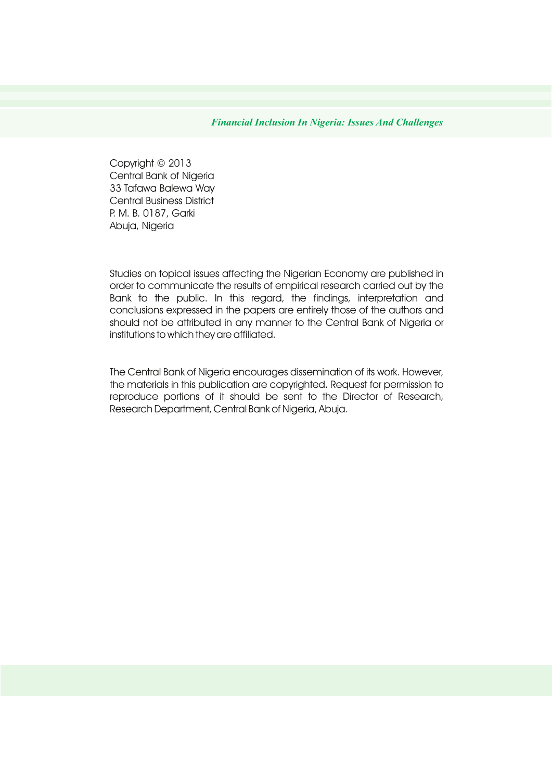Copyright © 2013 Central Bank of Nigeria 33 Tafawa Balewa Way Central Business District P. M. B. 0187, Garki Abuja, Nigeria

Studies on topical issues affecting the Nigerian Economy are published in order to communicate the results of empirical research carried out by the Bank to the public. In this regard, the findings, interpretation and conclusions expressed in the papers are entirely those of the authors and should not be attributed in any manner to the Central Bank of Nigeria or institutions to which they are affiliated.

The Central Bank of Nigeria encourages dissemination of its work. However, the materials in this publication are copyrighted. Request for permission to reproduce portions of it should be sent to the Director of Research, Research Department, Central Bank of Nigeria, Abuja.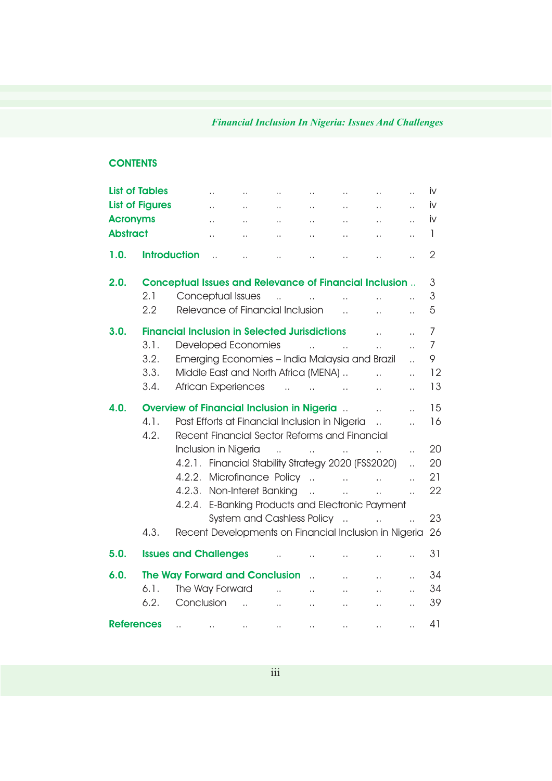# **CONTENTS**

| <b>List of Tables</b><br><b>List of Figures</b><br><b>Acronyms</b><br><b>Abstract</b> |                              | ò.<br>i i<br>т.<br>ò.                                | i i<br>à.<br>ò,<br>$\mathbf{r}$ .                                                        | ò.<br>$\bar{a}$<br>$\mathbf{r}$ .<br>$\mathbf{r}$ is | ò.<br>à.<br>$\bar{\alpha}$<br>$\mathbf{r}$ is | à.<br>$\sim$<br>$\sim$<br>$\mathbf{r}$ . | ò.<br>à.<br>т.<br>à.                                                                            | ò.<br>à.<br>ò.<br>à.                                                                                                         | İV<br>İV<br>İV<br>$\mathbf{1}$                                     |                                      |
|---------------------------------------------------------------------------------------|------------------------------|------------------------------------------------------|------------------------------------------------------------------------------------------|------------------------------------------------------|-----------------------------------------------|------------------------------------------|-------------------------------------------------------------------------------------------------|------------------------------------------------------------------------------------------------------------------------------|--------------------------------------------------------------------|--------------------------------------|
| 1.0.                                                                                  | <b>Introduction</b>          |                                                      |                                                                                          |                                                      |                                               | ò.                                       |                                                                                                 |                                                                                                                              | i.                                                                 | $\mathbf{2}$                         |
| 2.0.                                                                                  |                              |                                                      |                                                                                          |                                                      |                                               |                                          |                                                                                                 | <b>Conceptual Issues and Relevance of Financial Inclusion</b>                                                                |                                                                    | $\mathfrak{Z}$                       |
|                                                                                       | 2.1<br>2.2                   |                                                      | Conceptual Issues<br>Relevance of Financial Inclusion                                    |                                                      | $\mathbf{r}$                                  | <b>Contract Contract Contract</b>        | $\mathbf{r}$<br>$\mathbf{u}$                                                                    | $\ddot{\phantom{a}}$<br>$\ddot{\phantom{a}}$                                                                                 | $\ddot{\phantom{a}}$<br>à.                                         | 3<br>5                               |
| 3.0.                                                                                  | 3.1.<br>3.2.<br>3.3.<br>3.4. | <b>Financial Inclusion in Selected Jurisdictions</b> | <b>Developed Economies</b><br>Middle East and North Africa (MENA)<br>African Experiences |                                                      | $\mathbf{r}$                                  | and the company<br>and and some and      |                                                                                                 | $\ddot{\phantom{a}}$<br>$\ddot{\phantom{a}}$<br>Emerging Economies - India Malaysia and Brazil<br>$\ddot{\phantom{a}}$<br>ò. | $\ddot{\phantom{a}}$<br>$\ddot{\phantom{a}}$<br>ă.<br>ò.<br>ò.     | 7<br>$\overline{7}$<br>9<br>12<br>13 |
| 4.0.                                                                                  | 4.1.<br>4.2.                 | Overview of Financial Inclusion in Nigeria           |                                                                                          |                                                      |                                               |                                          | Past Efforts at Financial Inclusion in Nigeria<br>Recent Financial Sector Reforms and Financial | à.                                                                                                                           | ă.<br>$\ddot{\phantom{a}}$                                         | 15<br>16                             |
|                                                                                       |                              |                                                      | Inclusion in Nigeria<br>4.2.2. Microfinance Policy<br>4.2.3. Non-Interet Banking         |                                                      | $\sim$                                        |                                          | the contract of the contract of the<br><b>Carl College</b><br>and the contract of the           | 4.2.1. Financial Stability Strategy 2020 (FSS2020)<br>4.2.4. E-Banking Products and Electronic Payment                       | т,<br>$\ddot{\phantom{a}}$<br>$\bar{\mathbf{r}}$<br>$\bar{\Omega}$ | 20<br>20<br>21<br>22                 |
|                                                                                       | 4.3.                         |                                                      |                                                                                          | System and Cashless Policy                           |                                               |                                          |                                                                                                 | $\mathbf{r}$<br>Recent Developments on Financial Inclusion in Nigeria                                                        | $\bar{\mathbf{r}}$                                                 | 23<br>26                             |
| 5.0.                                                                                  |                              | <b>Issues and Challenges</b>                         |                                                                                          |                                                      |                                               |                                          |                                                                                                 |                                                                                                                              | i.                                                                 | 31                                   |
| 6.0.                                                                                  | 6.1.<br>6.2.                 | The Way Forward and Conclusion<br>Conclusion         | The Way Forward                                                                          | $\sim 100$                                           | $\ddot{\phantom{a}}$<br>à.                    | à.<br>$\mathbf{r}$ .                     | à.<br>ά¥,<br>т.                                                                                 | à.<br>ά¥.<br>т.                                                                                                              | à.<br>т.<br>$\bar{\mathbf{r}}$ .                                   | 34<br>34<br>39                       |
| <b>References</b>                                                                     |                              | ò.                                                   | $\alpha$                                                                                 | $\alpha$                                             | $\alpha$                                      | $\alpha$                                 | $\alpha$                                                                                        | $\bar{\alpha}$                                                                                                               | $\bar{\mathbf{r}}$ .                                               | 41                                   |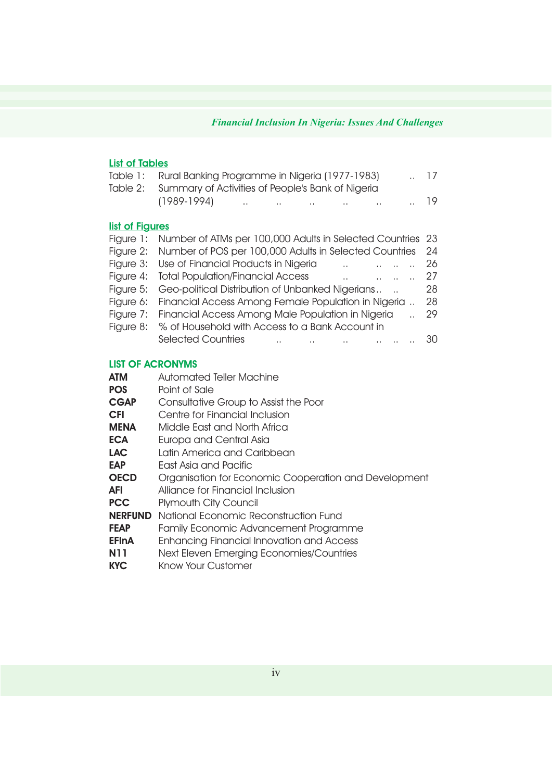# List of Tables

| Rural Banking Programme in Nigeria (1977-1983)                       | 17  |
|----------------------------------------------------------------------|-----|
| Summary of Activities of People's Bank of Nigeria                    |     |
| $(1989 - 1994)$<br>$\overline{1}$<br>$\mathbf{r}$                    | 19  |
|                                                                      |     |
| list of Figures                                                      |     |
| Figure 1: Number of ATMs per 100,000 Adults in Selected Countries 23 |     |
| Figure 2: Number of POS per 100,000 Adults in Selected Countries     | 24  |
| Figure 3: Use of Financial Products in Nigeria<br>$\mathbf{r}$       | 26  |
| <b>Total Population/Financial Access</b>                             | 27  |
| Geo-political Distribution of Unbanked Nigerians                     | 28  |
| Figure 6: Financial Access Among Female Population in Nigeria        | -28 |
|                                                                      |     |

| Figure 7: Financial Access Among Male Population in Nigeria  29 |             |             |                          |  |                            |  |      |
|-----------------------------------------------------------------|-------------|-------------|--------------------------|--|----------------------------|--|------|
| Figure 8: % of Household with Access to a Bank Account in       |             |             |                          |  |                            |  |      |
| Selected Countries                                              | <b>A</b> 10 | <b>A</b> 11 | <b>Contract Contract</b> |  | the company of the company |  | - 30 |

## LIST OF ACRONYMS

| <b>ATM</b>     | Automated Teller Machine                              |
|----------------|-------------------------------------------------------|
| <b>POS</b>     | Point of Sale                                         |
| <b>CGAP</b>    | Consultative Group to Assist the Poor                 |
| <b>CFI</b>     | Centre for Financial Inclusion                        |
| <b>MENA</b>    | Middle Fast and North Africa                          |
| <b>ECA</b>     | Europa and Central Asia                               |
| <b>LAC</b>     | Latin America and Caribbean                           |
| <b>EAP</b>     | East Asia and Pacific                                 |
| <b>OECD</b>    | Organisation for Economic Cooperation and Development |
| AFI            | Alliance for Financial Inclusion                      |
| <b>PCC</b>     | Plymouth City Council                                 |
| <b>NERFUND</b> | National Economic Reconstruction Fund                 |
| <b>FEAP</b>    | <b>Family Economic Advancement Programme</b>          |
| <b>EFINA</b>   | Enhancing Financial Innovation and Access             |
| N11            | Next Eleven Emerging Economies/Countries              |
| <b>KYC</b>     | Know Your Customer                                    |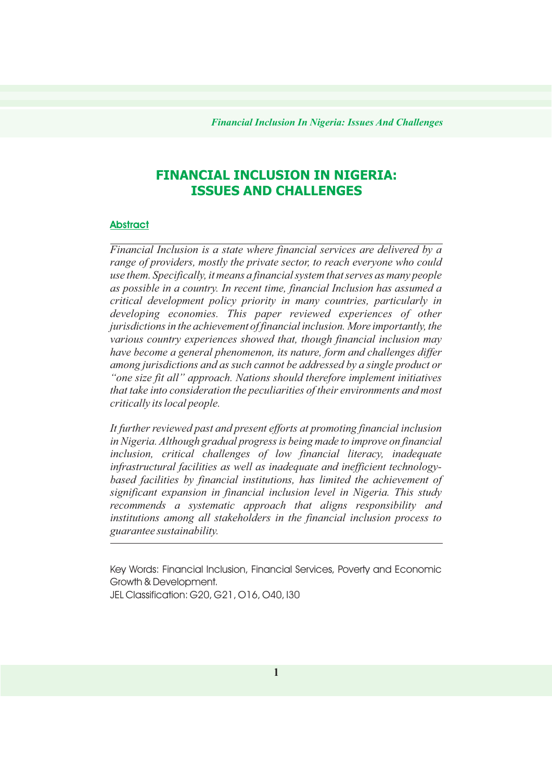# **FINANCIAL INCLUSION IN NIGERIA: ISSUES AND CHALLENGES**

#### **Abstract**

*Financial Inclusion is a state where financial services are delivered by a range of providers, mostly the private sector, to reach everyone who could use them. Specifically, it means a financial system that serves as many people as possible in a country. In recent time, financial Inclusion has assumed a critical development policy priority in many countries, particularly in developing economies. This paper reviewed experiences of other jurisdictions in the achievement of financial inclusion. More importantly, the various country experiences showed that, though financial inclusion may have become a general phenomenon, its nature, form and challenges differ among jurisdictions and as such cannot be addressed by a single product or "one size fit all" approach. Nations should therefore implement initiatives that take into consideration the peculiarities of their environments and most critically its local people.*

*It further reviewed past and present efforts at promoting financial inclusion in Nigeria. Although gradual progress is being made to improve on financial inclusion, critical challenges of low financial literacy, inadequate infrastructural facilities as well as inadequate and inefficient technologybased facilities by financial institutions, has limited the achievement of significant expansion in financial inclusion level in Nigeria. This study recommends a systematic approach that aligns responsibility and institutions among all stakeholders in the financial inclusion process to guarantee sustainability.* 

Key Words: Financial Inclusion, Financial Services, Poverty and Economic Growth & Development.

JEL Classification: G20, G21, O16, O40, I30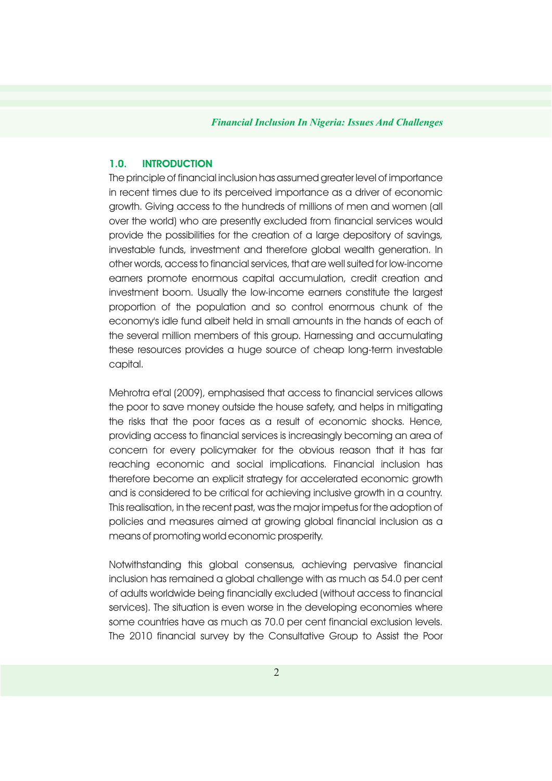#### 1.0. INTRODUCTION

The principle of financial inclusion has assumed greater level of importance in recent times due to its perceived importance as a driver of economic growth. Giving access to the hundreds of millions of men and women (all over the world) who are presently excluded from financial services would provide the possibilities for the creation of a large depository of savings, investable funds, investment and therefore global wealth generation. In other words, access to financial services, that are well suited for low-income earners promote enormous capital accumulation, credit creation and investment boom. Usually the low-income earners constitute the largest proportion of the population and so control enormous chunk of the economy's idle fund albeit held in small amounts in the hands of each of the several million members of this group. Harnessing and accumulating these resources provides a huge source of cheap long-term investable capital.

Mehrotra et'al (2009), emphasised that access to financial services allows the poor to save money outside the house safety, and helps in mitigating the risks that the poor faces as a result of economic shocks. Hence, providing access to financial services is increasingly becoming an area of concern for every policymaker for the obvious reason that it has far reaching economic and social implications. Financial inclusion has therefore become an explicit strategy for accelerated economic growth and is considered to be critical for achieving inclusive growth in a country. This realisation, in the recent past, was the major impetus for the adoption of policies and measures aimed at growing global financial inclusion as a means of promoting world economic prosperity.

Notwithstanding this global consensus, achieving pervasive financial inclusion has remained a global challenge with as much as 54.0 per cent of adults worldwide being financially excluded (without access to financial services). The situation is even worse in the developing economies where some countries have as much as 70.0 per cent financial exclusion levels. The 2010 financial survey by the Consultative Group to Assist the Poor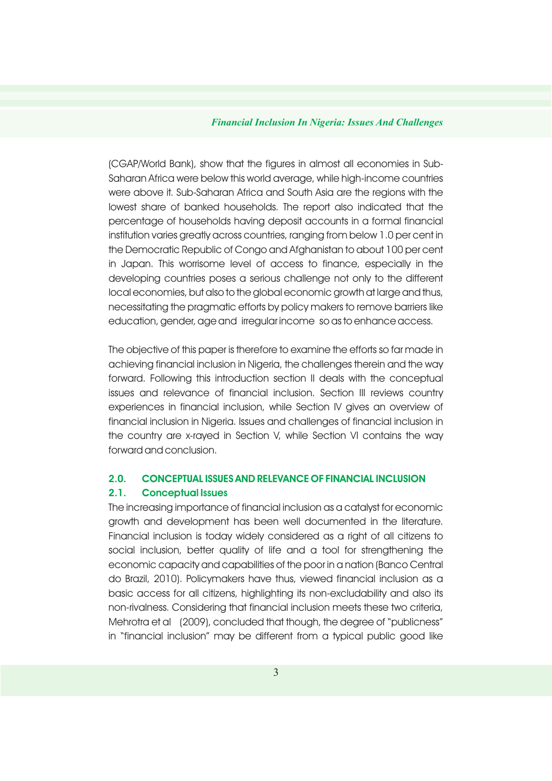(CGAP/World Bank), show that the figures in almost all economies in Sub-Saharan Africa were below this world average, while high-income countries were above it. Sub-Saharan Africa and South Asia are the regions with the lowest share of banked households. The report also indicated that the percentage of households having deposit accounts in a formal financial institution varies greatly across countries, ranging from below 1.0 per cent in the Democratic Republic of Congo and Afghanistan to about 100 per cent in Japan. This worrisome level of access to finance, especially in the developing countries poses a serious challenge not only to the different local economies, but also to the global economic growth at large and thus, necessitating the pragmatic efforts by policy makers to remove barriers like education, gender, age and irregular income so as to enhance access.

The objective of this paper is therefore to examine the efforts so far made in achieving financial inclusion in Nigeria, the challenges therein and the way forward. Following this introduction section II deals with the conceptual issues and relevance of financial inclusion. Section III reviews country experiences in financial inclusion, while Section IV gives an overview of financial inclusion in Nigeria. Issues and challenges of financial inclusion in the country are x-rayed in Section V, while Section VI contains the way forward and conclusion.

#### 2.0. CONCEPTUAL ISSUES AND RELEVANCE OF FINANCIAL INCLUSION

#### 2.1. Conceptual Issues

The increasing importance of financial inclusion as a catalyst for economic growth and development has been well documented in the literature. Financial inclusion is today widely considered as a right of all citizens to social inclusion, better quality of life and a tool for strengthening the economic capacity and capabilities of the poor in a nation (Banco Central do Brazil, 2010). Policymakers have thus, viewed financial inclusion as a basic access for all citizens, highlighting its non-excludability and also its non-rivalness. Considering that financial inclusion meets these two criteria, Mehrotra et al (2009), concluded that though, the degree of "publicness" in "financial inclusion" may be different from a typical public good like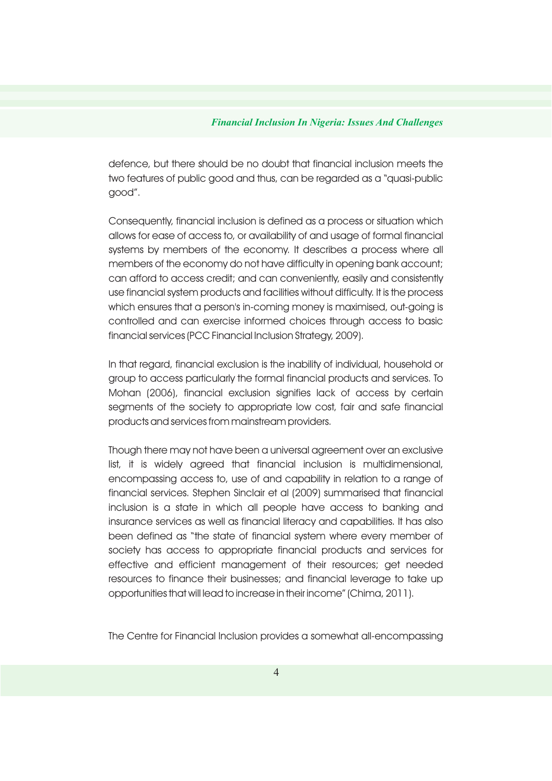defence, but there should be no doubt that financial inclusion meets the two features of public good and thus, can be regarded as a "quasi-public good".

Consequently, financial inclusion is defined as a process or situation which allows for ease of access to, or availability of and usage of formal financial systems by members of the economy. It describes a process where all members of the economy do not have difficulty in opening bank account; can afford to access credit; and can conveniently, easily and consistently use financial system products and facilities without difficulty. It is the process which ensures that a person's in-coming money is maximised, out-going is controlled and can exercise informed choices through access to basic financial services (PCC Financial Inclusion Strategy, 2009).

In that regard, financial exclusion is the inability of individual, household or group to access particularly the formal financial products and services. To Mohan (2006), financial exclusion signifies lack of access by certain segments of the society to appropriate low cost, fair and safe financial products and services from mainstream providers.

Though there may not have been a universal agreement over an exclusive list, it is widely agreed that financial inclusion is multidimensional, encompassing access to, use of and capability in relation to a range of financial services. Stephen Sinclair et al (2009) summarised that financial inclusion is a state in which all people have access to banking and insurance services as well as financial literacy and capabilities. It has also been defined as "the state of financial system where every member of society has access to appropriate financial products and services for effective and efficient management of their resources; get needed resources to finance their businesses; and financial leverage to take up opportunities that will lead to increase in their income" (Chima, 2011).

The Centre for Financial Inclusion provides a somewhat all-encompassing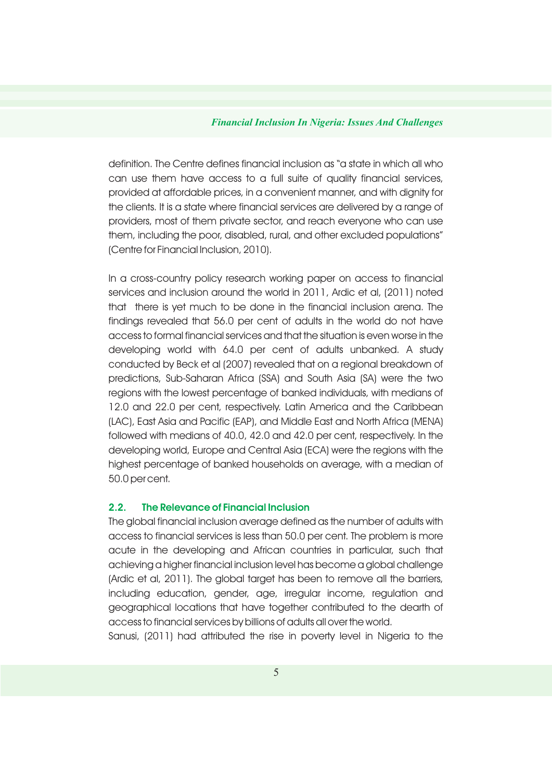definition. The Centre defines financial inclusion as "a state in which all who can use them have access to a full suite of quality financial services, provided at affordable prices, in a convenient manner, and with dignity for the clients. It is a state where financial services are delivered by a range of providers, most of them private sector, and reach everyone who can use them, including the poor, disabled, rural, and other excluded populations" (Centre for Financial Inclusion, 2010).

In a cross-country policy research working paper on access to financial services and inclusion around the world in 2011, Ardic et al, (2011) noted that there is yet much to be done in the financial inclusion arena. The findings revealed that 56.0 per cent of adults in the world do not have access to formal financial services and that the situation is even worse in the developing world with 64.0 per cent of adults unbanked. A study conducted by Beck et al (2007) revealed that on a regional breakdown of predictions, Sub-Saharan Africa (SSA) and South Asia (SA) were the two regions with the lowest percentage of banked individuals, with medians of 12.0 and 22.0 per cent, respectively. Latin America and the Caribbean (LAC), East Asia and Pacific (EAP), and Middle East and North Africa (MENA) followed with medians of 40.0, 42.0 and 42.0 per cent, respectively. In the developing world, Europe and Central Asia (ECA) were the regions with the highest percentage of banked households on average, with a median of 50.0 per cent.

#### 2.2. The Relevance of Financial Inclusion

The global financial inclusion average defined as the number of adults with access to financial services is less than 50.0 per cent. The problem is more acute in the developing and African countries in particular, such that achieving a higher financial inclusion level has become a global challenge (Ardic et al, 2011). The global target has been to remove all the barriers, including education, gender, age, irregular income, regulation and geographical locations that have together contributed to the dearth of access to financial services by billions of adults all over the world.

Sanusi, (2011) had attributed the rise in poverty level in Nigeria to the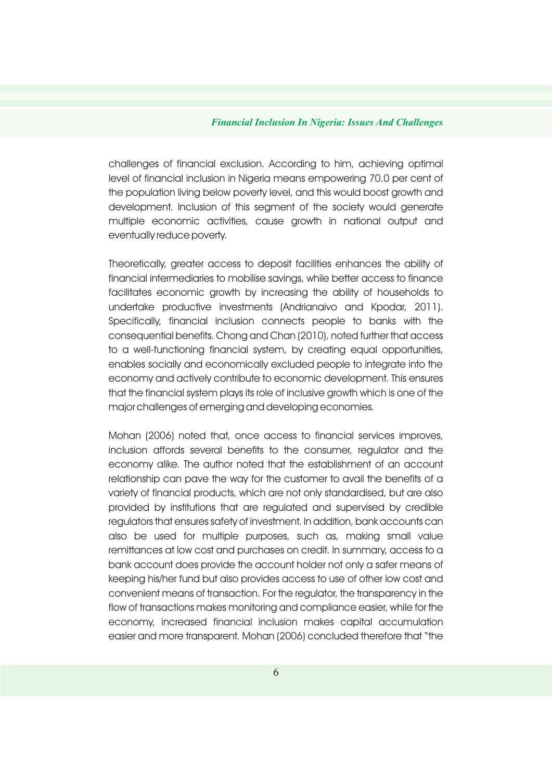challenges of financial exclusion. According to him, achieving optimal level of financial inclusion in Nigeria means empowering 70.0 per cent of the population living below poverty level, and this would boost growth and development. Inclusion of this segment of the society would generate multiple economic activities, cause growth in national output and eventually reduce poverty.

Theoretically, greater access to deposit facilities enhances the ability of financial intermediaries to mobilise savings, while better access to finance facilitates economic growth by increasing the ability of households to undertake productive investments (Andrianaivo and Kpodar, 2011). Specifically, financial inclusion connects people to banks with the consequential benefits. Chong and Chan (2010), noted further that access to a well-functioning financial system, by creating equal opportunities, enables socially and economically excluded people to integrate into the economy and actively contribute to economic development. This ensures that the financial system plays its role of inclusive growth which is one of the major challenges of emerging and developing economies.

Mohan (2006) noted that, once access to financial services improves, inclusion affords several benefits to the consumer, regulator and the economy alike. The author noted that the establishment of an account relationship can pave the way for the customer to avail the benefits of a variety of financial products, which are not only standardised, but are also provided by institutions that are regulated and supervised by credible regulators that ensures safety of investment. In addition, bank accounts can also be used for multiple purposes, such as, making small value remittances at low cost and purchases on credit. In summary, access to a bank account does provide the account holder not only a safer means of keeping his/her fund but also provides access to use of other low cost and convenient means of transaction. For the regulator, the transparency in the flow of transactions makes monitoring and compliance easier, while for the economy, increased financial inclusion makes capital accumulation easier and more transparent. Mohan (2006) concluded therefore that "the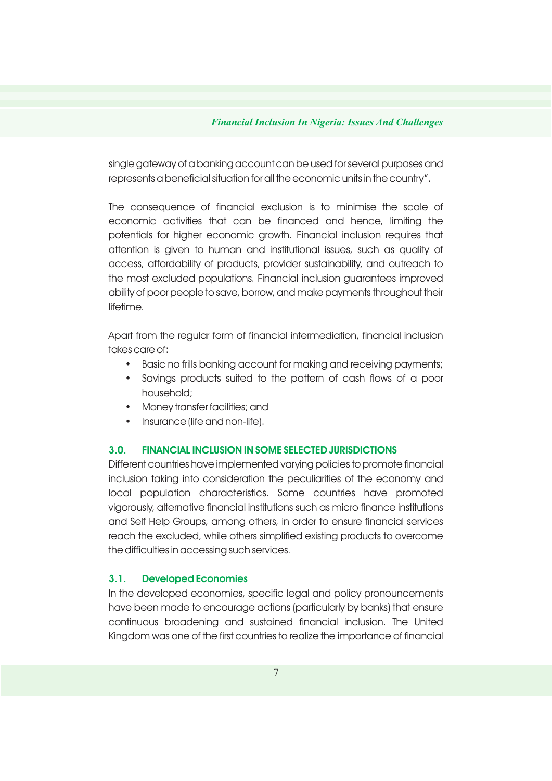single gateway of a banking account can be used for several purposes and represents a beneficial situation for all the economic units in the country".

The consequence of financial exclusion is to minimise the scale of economic activities that can be financed and hence, limiting the potentials for higher economic growth. Financial inclusion requires that attention is given to human and institutional issues, such as quality of access, affordability of products, provider sustainability, and outreach to the most excluded populations. Financial inclusion guarantees improved ability of poor people to save, borrow, and make payments throughout their lifetime.

Apart from the regular form of financial intermediation, financial inclusion takes care of:

- Basic no frills banking account for making and receiving payments;
- Savings products suited to the pattern of cash flows of a poor household;
- Money transfer facilities; and
- Insurance (life and non-life).

#### 3.0. FINANCIAL INCLUSION IN SOME SELECTED JURISDICTIONS

Different countries have implemented varying policies to promote financial inclusion taking into consideration the peculiarities of the economy and local population characteristics. Some countries have promoted vigorously, alternative financial institutions such as micro finance institutions and Self Help Groups, among others, in order to ensure financial services reach the excluded, while others simplified existing products to overcome the difficulties in accessing such services.

#### 3.1. Developed Economies

In the developed economies, specific legal and policy pronouncements have been made to encourage actions (particularly by banks) that ensure continuous broadening and sustained financial inclusion. The United Kingdom was one of the first countries to realize the importance of financial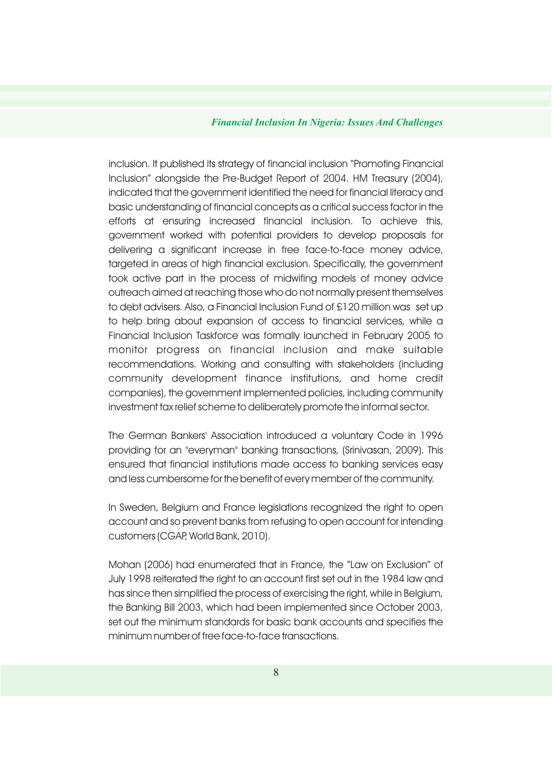inclusion. It published its strategy of financial inclusion "Promoting Financial Inclusion" alongside the Pre-Budget Report of 2004. HM Treasury (2004), indicated that the government identified the need for financial literacy and basic understanding of financial concepts as a critical success factor in the efforts at ensuring increased financial inclusion. To achieve this, government worked with potential providers to develop proposals for delivering a significant increase in free face-to-face money advice, targeted in areas of high financial exclusion. Specifically, the government took active part in the process of midwifing models of money advice outreach aimed at reaching those who do not normally present themselves to debt advisers. Also, a Financial Inclusion Fund of £120 million was set up to help bring about expansion of access to financial services, while a Financial Inclusion Taskforce was formally launched in February 2005 to monitor progress on financial inclusion and make suitable recommendations. Working and consulting with stakeholders (including community development finance institutions, and home credit companies), the government implemented policies, including community investment tax relief scheme to deliberately promote the informal sector.

The German Bankers' Association introduced a voluntary Code in 1996 providing for an "everyman" banking transactions, (Srinivasan, 2009). This ensured that financial institutions made access to banking services easy and less cumbersome for the benefit of every member of the community.

In Sweden, Belgium and France legislations recognized the right to open account and so prevent banks from refusing to open account for intending customers (CGAP, World Bank, 2010).

Mohan (2006) had enumerated that in France, the "Law on Exclusion" of July 1998 reiterated the right to an account first set out in the 1984 law and has since then simplified the process of exercising the right, while in Belgium, the Banking Bill 2003, which had been implemented since October 2003, set out the minimum standards for basic bank accounts and specifies the minimum number of free face-to-face transactions.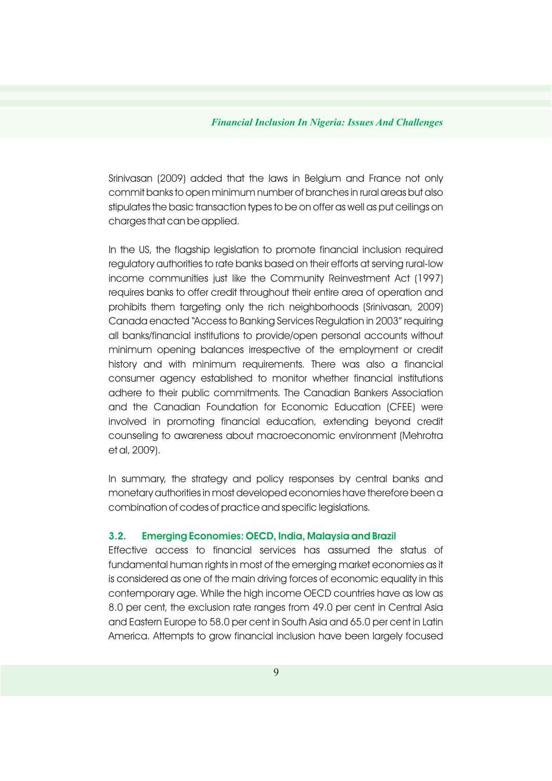Srinivasan (2009) added that the laws in Belgium and France not only commit banks to open minimum number of branches in rural areas but also stipulates the basic transaction types to be on offer as well as put ceilings on charges that can be applied.

In the US, the flagship legislation to promote financial inclusion required regulatory authorities to rate banks based on their efforts at serving rural-low income communities just like the Community Reinvestment Act (1997) requires banks to offer credit throughout their entire area of operation and prohibits them targeting only the rich neighborhoods (Srinivasan, 2009) Canada enacted "Access to Banking Services Regulation in 2003" requiring all banks/financial institutions to provide/open personal accounts without minimum opening balances irrespective of the employment or credit history and with minimum requirements. There was also a financial consumer agency established to monitor whether financial institutions adhere to their public commitments. The Canadian Bankers Association and the Canadian Foundation for Economic Education (CFEE) were involved in promoting financial education, extending beyond credit counseling to awareness about macroeconomic environment (Mehrotra et al, 2009).

In summary, the strategy and policy responses by central banks and monetary authorities in most developed economies have therefore been a combination of codes of practice and specific legislations.

#### 3.2. Emerging Economies: OECD, India, Malaysia and Brazil

Effective access to financial services has assumed the status of fundamental human rights in most of the emerging market economies as it is considered as one of the main driving forces of economic equality in this contemporary age. While the high income OECD countries have as low as 8.0 per cent, the exclusion rate ranges from 49.0 per cent in Central Asia and Eastern Europe to 58.0 per cent in South Asia and 65.0 per cent in Latin America. Attempts to grow financial inclusion have been largely focused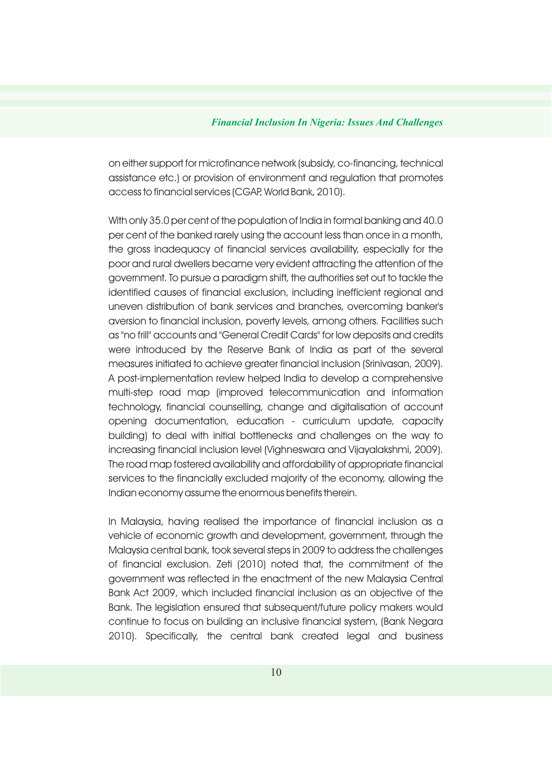on either support for microfinance network (subsidy, co-financing, technical assistance etc.) or provision of environment and regulation that promotes access to financial services (CGAP, World Bank, 2010).

With only 35.0 per cent of the population of India in formal banking and 40.0 per cent of the banked rarely using the account less than once in a month, the gross inadequacy of financial services availability, especially for the poor and rural dwellers became very evident attracting the attention of the government. To pursue a paradigm shift, the authorities set out to tackle the identified causes of financial exclusion, including inefficient regional and uneven distribution of bank services and branches, overcoming banker's aversion to financial inclusion, poverty levels, among others. Facilities such as "no frill" accounts and "General Credit Cards" for low deposits and credits were introduced by the Reserve Bank of India as part of the several measures initiated to achieve greater financial inclusion (Srinivasan, 2009). A post-implementation review helped India to develop a comprehensive multi-step road map (improved telecommunication and information technology, financial counselling, change and digitalisation of account opening documentation, education - curriculum update, capacity building) to deal with initial bottlenecks and challenges on the way to increasing financial inclusion level (Vighneswara and Vijayalakshmi, 2009). The road map fostered availability and affordability of appropriate financial services to the financially excluded majority of the economy, allowing the Indian economy assume the enormous benefits therein.

In Malaysia, having realised the importance of financial inclusion as a vehicle of economic growth and development, government, through the Malaysia central bank, took several steps in 2009 to address the challenges of financial exclusion. Zeti (2010) noted that, the commitment of the government was reflected in the enactment of the new Malaysia Central Bank Act 2009, which included financial inclusion as an objective of the Bank. The legislation ensured that subsequent/future policy makers would continue to focus on building an inclusive financial system, (Bank Negara 2010). Specifically, the central bank created legal and business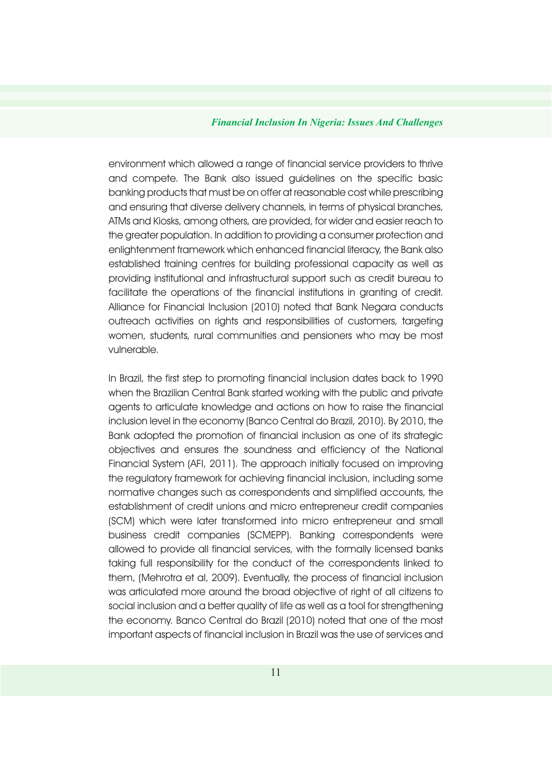environment which allowed a range of financial service providers to thrive and compete. The Bank also issued guidelines on the specific basic banking products that must be on offer at reasonable cost while prescribing and ensuring that diverse delivery channels, in terms of physical branches, ATMs and Kiosks, among others, are provided, for wider and easier reach to the greater population. In addition to providing a consumer protection and enlightenment framework which enhanced financial literacy, the Bank also established training centres for building professional capacity as well as providing institutional and infrastructural support such as credit bureau to facilitate the operations of the financial institutions in granting of credit. Alliance for Financial Inclusion (2010) noted that Bank Negara conducts outreach activities on rights and responsibilities of customers, targeting women, students, rural communities and pensioners who may be most vulnerable.

In Brazil, the first step to promoting financial inclusion dates back to 1990 when the Brazilian Central Bank started working with the public and private agents to articulate knowledge and actions on how to raise the financial inclusion level in the economy (Banco Central do Brazil, 2010). By 2010, the Bank adopted the promotion of financial inclusion as one of its strategic objectives and ensures the soundness and efficiency of the National Financial System (AFI, 2011). The approach initially focused on improving the regulatory framework for achieving financial inclusion, including some normative changes such as correspondents and simplified accounts, the establishment of credit unions and micro entrepreneur credit companies (SCM) which were later transformed into micro entrepreneur and small business credit companies (SCMEPP). Banking correspondents were allowed to provide all financial services, with the formally licensed banks taking full responsibility for the conduct of the correspondents linked to them, (Mehrotra et al, 2009). Eventually, the process of financial inclusion was articulated more around the broad objective of right of all citizens to social inclusion and a better quality of life as well as a tool for strengthening the economy. Banco Central do Brazil (2010) noted that one of the most important aspects of financial inclusion in Brazil was the use of services and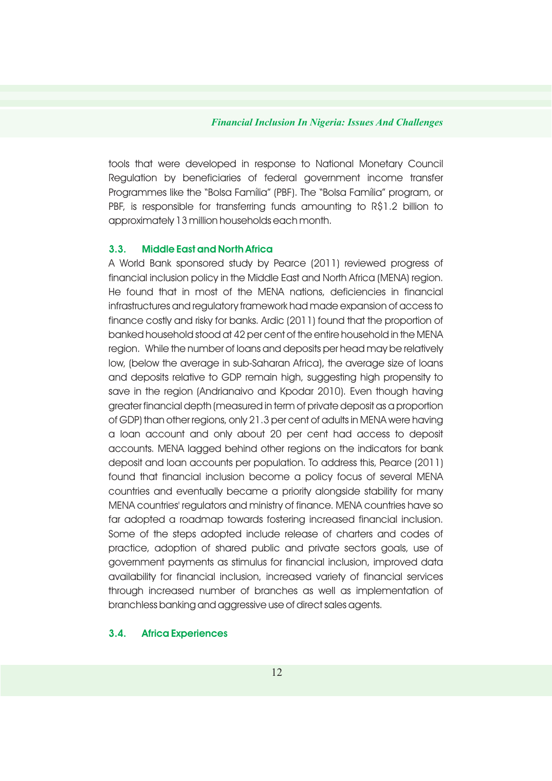tools that were developed in response to National Monetary Council Regulation by beneficiaries of federal government income transfer Programmes like the "Bolsa Família" (PBF). The "Bolsa Família" program, or PBF, is responsible for transferring funds amounting to R\$1.2 billion to approximately 13 million households each month.

#### 3.3. Middle East and North Africa

A World Bank sponsored study by Pearce (2011) reviewed progress of financial inclusion policy in the Middle East and North Africa (MENA) region. He found that in most of the MENA nations, deficiencies in financial infrastructures and regulatory framework had made expansion of access to finance costly and risky for banks. Ardic (2011) found that the proportion of banked household stood at 42 per cent of the entire household in the MENA region. While the number of loans and deposits per head may be relatively low, (below the average in sub-Saharan Africa), the average size of loans and deposits relative to GDP remain high, suggesting high propensity to save in the region (Andrianaivo and Kpodar 2010). Even though having greater financial depth (measured in term of private deposit as a proportion of GDP) than other regions, only 21.3 per cent of adults in MENA were having a loan account and only about 20 per cent had access to deposit accounts. MENA lagged behind other regions on the indicators for bank deposit and loan accounts per population. To address this, Pearce (2011) found that financial inclusion become a policy focus of several MENA countries and eventually became a priority alongside stability for many MENA countries' regulators and ministry of finance. MENA countries have so far adopted a roadmap towards fostering increased financial inclusion. Some of the steps adopted include release of charters and codes of practice, adoption of shared public and private sectors goals, use of government payments as stimulus for financial inclusion, improved data availability for financial inclusion, increased variety of financial services through increased number of branches as well as implementation of branchless banking and aggressive use of direct sales agents.

#### 3.4. Africa Experiences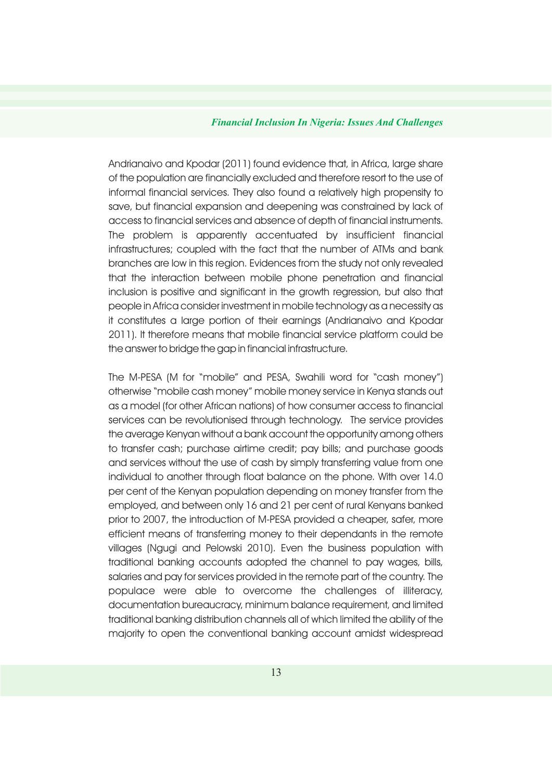Andrianaivo and Kpodar (2011) found evidence that, in Africa, large share of the population are financially excluded and therefore resort to the use of informal financial services. They also found a relatively high propensity to save, but financial expansion and deepening was constrained by lack of access to financial services and absence of depth of financial instruments. The problem is apparently accentuated by insufficient financial infrastructures; coupled with the fact that the number of ATMs and bank branches are low in this region. Evidences from the study not only revealed that the interaction between mobile phone penetration and financial inclusion is positive and significant in the growth regression, but also that people in Africa consider investment in mobile technology as a necessity as it constitutes a large portion of their earnings (Andrianaivo and Kpodar 2011). It therefore means that mobile financial service platform could be the answer to bridge the gap in financial infrastructure.

The M-PESA (M for "mobile" and PESA, Swahili word for "cash money") otherwise "mobile cash money" mobile money service in Kenya stands out as a model (for other African nations) of how consumer access to financial services can be revolutionised through technology. The service provides the average Kenyan without a bank account the opportunity among others to transfer cash; purchase airtime credit; pay bills; and purchase goods and services without the use of cash by simply transferring value from one individual to another through float balance on the phone. With over 14.0 per cent of the Kenyan population depending on money transfer from the employed, and between only 16 and 21 per cent of rural Kenyans banked prior to 2007, the introduction of M-PESA provided a cheaper, safer, more efficient means of transferring money to their dependants in the remote villages (Ngugi and Pelowski 2010). Even the business population with traditional banking accounts adopted the channel to pay wages, bills, salaries and pay for services provided in the remote part of the country. The populace were able to overcome the challenges of illiteracy, documentation bureaucracy, minimum balance requirement, and limited traditional banking distribution channels all of which limited the ability of the majority to open the conventional banking account amidst widespread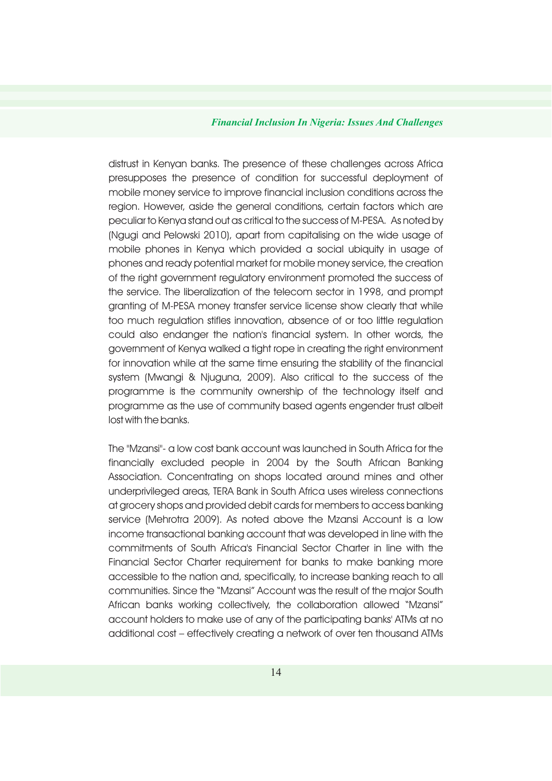distrust in Kenyan banks. The presence of these challenges across Africa presupposes the presence of condition for successful deployment of mobile money service to improve financial inclusion conditions across the region. However, aside the general conditions, certain factors which are peculiar to Kenya stand out as critical to the success of M-PESA. As noted by (Ngugi and Pelowski 2010), apart from capitalising on the wide usage of mobile phones in Kenya which provided a social ubiquity in usage of phones and ready potential market for mobile money service, the creation of the right government regulatory environment promoted the success of the service. The liberalization of the telecom sector in 1998, and prompt granting of M-PESA money transfer service license show clearly that while too much regulation stifles innovation, absence of or too little regulation could also endanger the nation's financial system. In other words, the government of Kenya walked a tight rope in creating the right environment for innovation while at the same time ensuring the stability of the financial system (Mwangi & Njuguna, 2009). Also critical to the success of the programme is the community ownership of the technology itself and programme as the use of community based agents engender trust albeit lost with the banks.

The "Mzansi"- a low cost bank account was launched in South Africa for the financially excluded people in 2004 by the South African Banking Association. Concentrating on shops located around mines and other underprivileged areas, TERA Bank in South Africa uses wireless connections at grocery shops and provided debit cards for members to access banking service (Mehrotra 2009). As noted above the Mzansi Account is a low income transactional banking account that was developed in line with the commitments of South Africa's Financial Sector Charter in line with the Financial Sector Charter requirement for banks to make banking more accessible to the nation and, specifically, to increase banking reach to all communities. Since the "Mzansi" Account was the result of the major South African banks working collectively, the collaboration allowed "Mzansi" account holders to make use of any of the participating banks' ATMs at no additional cost – effectively creating a network of over ten thousand ATMs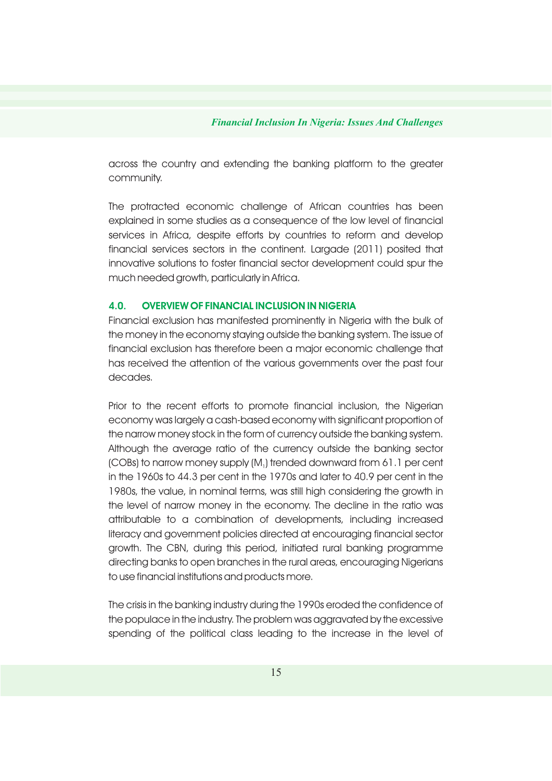across the country and extending the banking platform to the greater community.

The protracted economic challenge of African countries has been explained in some studies as a consequence of the low level of financial services in Africa, despite efforts by countries to reform and develop financial services sectors in the continent. Largade (2011) posited that innovative solutions to foster financial sector development could spur the much needed growth, particularly in Africa.

#### 4.0. OVERVIEW OF FINANCIAL INCLUSION IN NIGERIA

Financial exclusion has manifested prominently in Nigeria with the bulk of the money in the economy staying outside the banking system. The issue of financial exclusion has therefore been a major economic challenge that has received the attention of the various governments over the past four decades.

Prior to the recent efforts to promote financial inclusion, the Nigerian economy was largely a cash-based economy with significant proportion of the narrow money stock in the form of currency outside the banking system. Although the average ratio of the currency outside the banking sector (COBs) to narrow money supply (M.) trended downward from 61.1 per cent in the 1960s to 44.3 per cent in the 1970s and later to 40.9 per cent in the 1980s, the value, in nominal terms, was still high considering the growth in the level of narrow money in the economy. The decline in the ratio was attributable to a combination of developments, including increased literacy and government policies directed at encouraging financial sector growth. The CBN, during this period, initiated rural banking programme directing banks to open branches in the rural areas, encouraging Nigerians to use financial institutions and products more.

The crisis in the banking industry during the 1990s eroded the confidence of the populace in the industry. The problem was aggravated by the excessive spending of the political class leading to the increase in the level of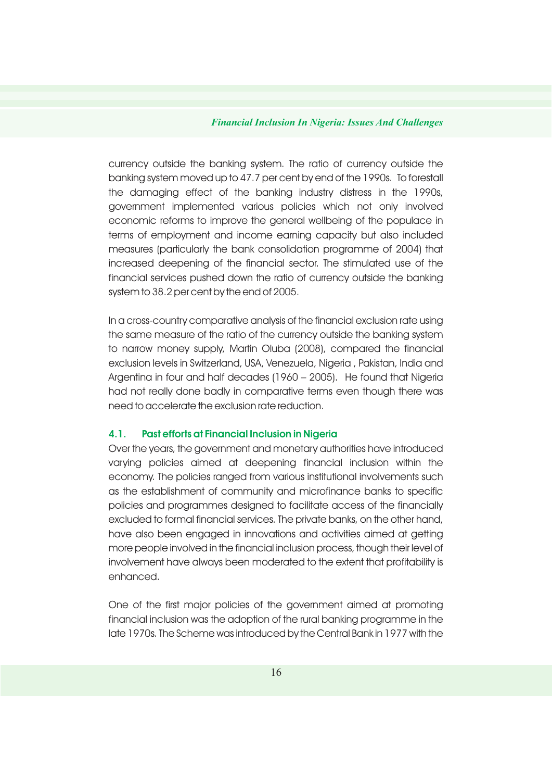currency outside the banking system. The ratio of currency outside the banking system moved up to 47.7 per cent by end of the 1990s. To forestall the damaging effect of the banking industry distress in the 1990s, government implemented various policies which not only involved economic reforms to improve the general wellbeing of the populace in terms of employment and income earning capacity but also included measures (particularly the bank consolidation programme of 2004) that increased deepening of the financial sector. The stimulated use of the financial services pushed down the ratio of currency outside the banking system to 38.2 per cent by the end of 2005.

In a cross-country comparative analysis of the financial exclusion rate using the same measure of the ratio of the currency outside the banking system to narrow money supply, Martin Oluba (2008), compared the financial exclusion levels in Switzerland, USA, Venezuela, Nigeria , Pakistan, India and Argentina in four and half decades (1960 – 2005). He found that Nigeria had not really done badly in comparative terms even though there was need to accelerate the exclusion rate reduction.

#### 4.1. Past efforts at Financial Inclusion in Nigeria

Over the years, the government and monetary authorities have introduced varying policies aimed at deepening financial inclusion within the economy. The policies ranged from various institutional involvements such as the establishment of community and microfinance banks to specific policies and programmes designed to facilitate access of the financially excluded to formal financial services. The private banks, on the other hand, have also been engaged in innovations and activities aimed at aetting more people involved in the financial inclusion process, though their level of involvement have always been moderated to the extent that profitability is enhanced.

One of the first major policies of the government aimed at promoting financial inclusion was the adoption of the rural banking programme in the late 1970s. The Scheme was introduced by the Central Bank in 1977 with the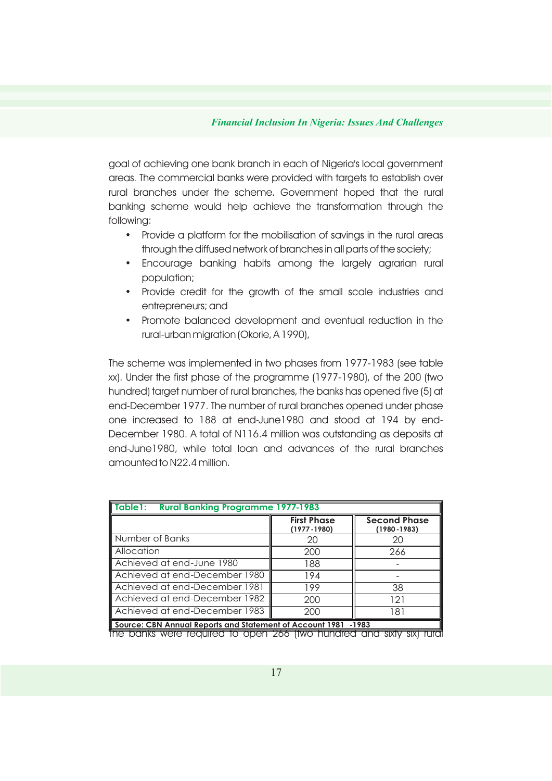goal of achieving one bank branch in each of Nigeria's local government areas. The commercial banks were provided with targets to establish over rural branches under the scheme. Government hoped that the rural banking scheme would help achieve the transformation through the following:

- Provide a platform for the mobilisation of savings in the rural areas through the diffused network of branches in all parts of the society;
- Encourage banking habits among the largely agrarian rural population;
- Provide credit for the growth of the small scale industries and entrepreneurs; and
- Promote balanced development and eventual reduction in the rural-urban migration (Okorie, A 1990),

The scheme was implemented in two phases from 1977-1983 (see table xx). Under the first phase of the programme (1977-1980), of the 200 (two hundred) target number of rural branches, the banks has opened five (5) at end-December 1977. The number of rural branches opened under phase one increased to 188 at end-June1980 and stood at 194 by end-December 1980. A total of N116.4 million was outstanding as deposits at end-June1980, while total loan and advances of the rural branches amounted to N22.4 million.

| Table1:<br><b>Rural Banking Programme 1977-1983</b>            |                                       |                                        |  |  |  |  |
|----------------------------------------------------------------|---------------------------------------|----------------------------------------|--|--|--|--|
|                                                                | <b>First Phase</b><br>$(1977 - 1980)$ | <b>Second Phase</b><br>$(1980 - 1983)$ |  |  |  |  |
| Number of Banks                                                | 20                                    | 20                                     |  |  |  |  |
| Allocation                                                     | 200                                   | 266                                    |  |  |  |  |
| Achieved at end-June 1980                                      | 188                                   |                                        |  |  |  |  |
| Achieved at end-December 1980                                  | 194                                   |                                        |  |  |  |  |
| Achieved at end-December 1981                                  | 199                                   | 38                                     |  |  |  |  |
| <b>II</b> Achieved at end-December 1982 I                      | 200                                   | 121                                    |  |  |  |  |
| Achieved at end-December 1983                                  | 200                                   | 181                                    |  |  |  |  |
| Source: CBN Annual Reports and Statement of Account 1981 -1983 |                                       |                                        |  |  |  |  |

The banks were required to open 266 (two hundred and sixty six) rural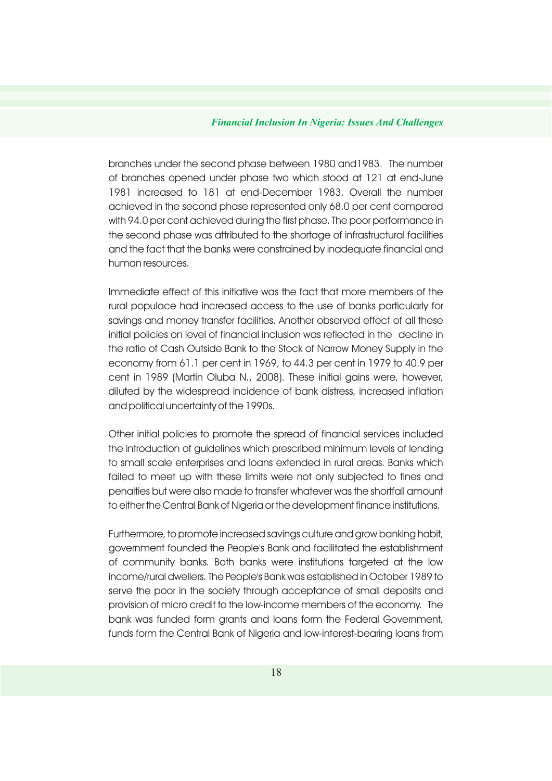branches under the second phase between 1980 and1983. The number of branches opened under phase two which stood at 121 at end-June 1981 increased to 181 at end-December 1983. Overall the number achieved in the second phase represented only 68.0 per cent compared with 94.0 per cent achieved during the first phase. The poor performance in the second phase was attributed to the shortage of infrastructural facilities and the fact that the banks were constrained by inadequate financial and human resources.

Immediate effect of this initiative was the fact that more members of the rural populace had increased access to the use of banks particularly for savings and money transfer facilities. Another observed effect of all these initial policies on level of financial inclusion was reflected in the decline in the ratio of Cash Outside Bank to the Stock of Narrow Money Supply in the economy from 61.1 per cent in 1969, to 44.3 per cent in 1979 to 40.9 per cent in 1989 (Martin Oluba N., 2008). These initial gains were, however, diluted by the widespread incidence of bank distress, increased inflation and political uncertainty of the 1990s.

Other initial policies to promote the spread of financial services included the introduction of guidelines which prescribed minimum levels of lending to small scale enterprises and loans extended in rural areas. Banks which failed to meet up with these limits were not only subjected to fines and penalties but were also made to transfer whatever was the shortfall amount to either the Central Bank of Nigeria or the development finance institutions.

Furthermore, to promote increased savings culture and grow banking habit, government founded the People's Bank and facilitated the establishment of community banks. Both banks were institutions targeted at the low income/rural dwellers. The People's Bank was established in October 1989 to serve the poor in the society through acceptance of small deposits and provision of micro credit to the low-income members of the economy. The bank was funded form grants and loans form the Federal Government, funds form the Central Bank of Nigeria and low-interest-bearing loans from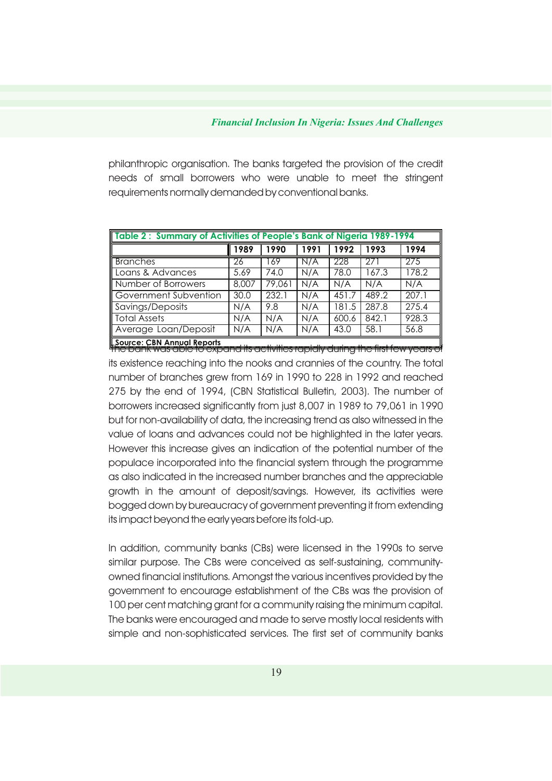philanthropic organisation. The banks targeted the provision of the credit needs of small borrowers who were unable to meet the stringent requirements normally demanded by conventional banks.

| Table 2: Summary of Activities of People's Bank of Nigeria 1989-1994 |       |        |      |       |       |       |  |
|----------------------------------------------------------------------|-------|--------|------|-------|-------|-------|--|
|                                                                      | 1989  | 1990   | 1991 | 1992  | 1993  | 1994  |  |
| Branches                                                             | 26    | 169    | N/A  | 228   |       | 275   |  |
| Loans & Advances                                                     | 5.69  | 74.0   | N/A  | 78.0  | 167.3 | 178.2 |  |
| Number of Borrowers                                                  | 8,007 | 79,061 | N/A  | N/A   | N/A   | N/A   |  |
| Government Subvention                                                | 30.0  | 232.1  | N/A  | 451.7 | 489.2 | 207.1 |  |
| Savings/Deposits                                                     | N/A   | 9.8    | N/A  | 181.5 | 287.8 | 275.4 |  |
| Total Assets                                                         | N/A   | N/A    | N/A  | 600.6 | 842.1 | 928.3 |  |
| Average Loan/Deposit                                                 | N/A   | N/A    | N/A  | 43.0  | 58.1  | 56.8  |  |
| Source: CRN Annual Penorts                                           |       |        |      |       |       |       |  |

The bank was able to expand its activities rapidly during the first few years of **Source: CBN Annual Reports** its existence reaching into the nooks and crannies of the country. The total number of branches grew from 169 in 1990 to 228 in 1992 and reached 275 by the end of 1994, (CBN Statistical Bulletin, 2003). The number of borrowers increased significantly from just 8,007 in 1989 to 79,061 in 1990 but for non-availability of data, the increasing trend as also witnessed in the value of loans and advances could not be highlighted in the later years. However this increase gives an indication of the potential number of the populace incorporated into the financial system through the programme as also indicated in the increased number branches and the appreciable growth in the amount of deposit/savings. However, its activities were bogged down by bureaucracy of government preventing it from extending its impact beyond the early years before its fold-up.

In addition, community banks (CBs) were licensed in the 1990s to serve similar purpose. The CBs were conceived as self-sustaining, communityowned financial institutions. Amongst the various incentives provided by the government to encourage establishment of the CBs was the provision of 100 per cent matching grant for a community raising the minimum capital. The banks were encouraged and made to serve mostly local residents with simple and non-sophisticated services. The first set of community banks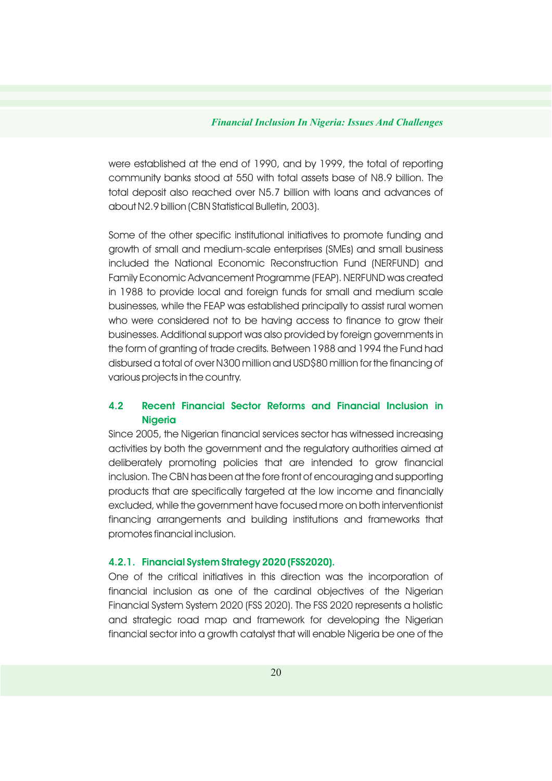were established at the end of 1990, and by 1999, the total of reporting community banks stood at 550 with total assets base of N8.9 billion. The total deposit also reached over N5.7 billion with loans and advances of about N2.9 billion (CBN Statistical Bulletin, 2003).

Some of the other specific institutional initiatives to promote funding and growth of small and medium-scale enterprises (SMEs) and small business included the National Economic Reconstruction Fund (NERFUND) and Family Economic Advancement Programme (FEAP). NERFUND was created in 1988 to provide local and foreign funds for small and medium scale businesses, while the FEAP was established principally to assist rural women who were considered not to be having access to finance to grow their businesses. Additional support was also provided by foreign governments in the form of granting of trade credits. Between 1988 and 1994 the Fund had disbursed a total of over N300 million and USD\$80 million for the financing of various projects in the country.

### 4.2 Recent Financial Sector Reforms and Financial Inclusion in Nigeria

Since 2005, the Nigerian financial services sector has witnessed increasing activities by both the government and the regulatory authorities aimed at deliberately promoting policies that are intended to grow financial inclusion. The CBN has been at the fore front of encouraging and supporting products that are specifically targeted at the low income and financially excluded, while the government have focused more on both interventionist financing arrangements and building institutions and frameworks that promotes financial inclusion.

#### 4.2.1. Financial System Strategy 2020 (FSS2020).

One of the critical initiatives in this direction was the incorporation of financial inclusion as one of the cardinal objectives of the Nigerian Financial System System 2020 (FSS 2020). The FSS 2020 represents a holistic and strategic road map and framework for developing the Nigerian financial sector into a growth catalyst that will enable Nigeria be one of the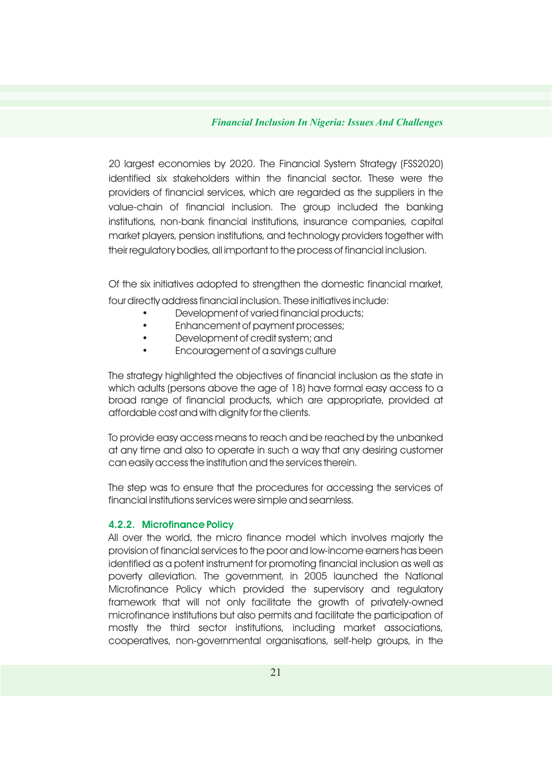20 largest economies by 2020. The Financial System Strategy (FSS2020) identified six stakeholders within the financial sector. These were the providers of financial services, which are regarded as the suppliers in the value-chain of financial inclusion. The group included the banking institutions, non-bank financial institutions, insurance companies, capital market players, pension institutions, and technology providers together with their regulatory bodies, all important to the process of financial inclusion.

Of the six initiatives adopted to strengthen the domestic financial market, four directly address financial inclusion. These initiatives include:

- Development of varied financial products;
- Enhancement of payment processes;
- Development of credit system; and
- Encouragement of a savings culture

The strategy highlighted the objectives of financial inclusion as the state in which adults (persons above the age of 18) have formal easy access to a broad range of financial products, which are appropriate, provided at affordable cost and with dignity for the clients.

To provide easy access means to reach and be reached by the unbanked at any time and also to operate in such a way that any desiring customer can easily access the institution and the services therein.

The step was to ensure that the procedures for accessing the services of financial institutions services were simple and seamless.

#### 4.2.2. Microfinance Policy

All over the world, the micro finance model which involves majorly the provision of financial services to the poor and low-income earners has been identified as a potent instrument for promoting financial inclusion as well as poverty alleviation. The government, in 2005 launched the National Microfinance Policy which provided the supervisory and regulatory framework that will not only facilitate the growth of privately-owned microfinance institutions but also permits and facilitate the participation of mostly the third sector institutions, including market associations, cooperatives, non-governmental organisations, self-help groups, in the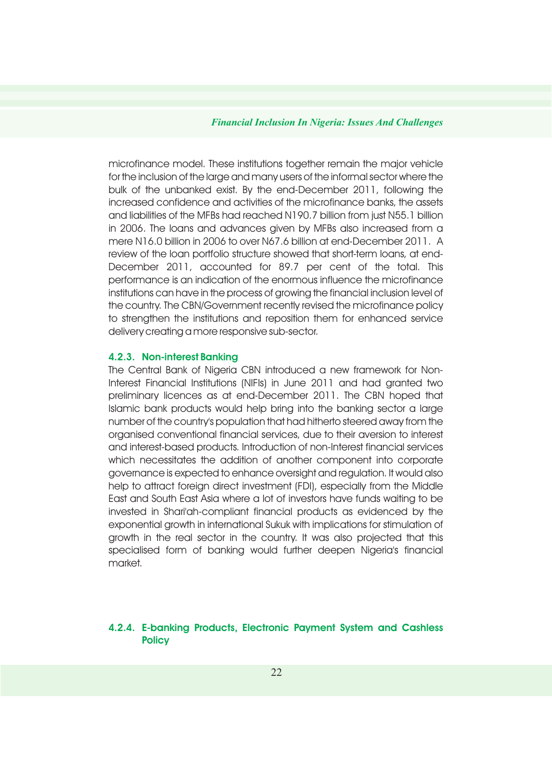microfinance model. These institutions together remain the major vehicle for the inclusion of the large and many users of the informal sector where the bulk of the unbanked exist. By the end-December 2011, following the increased confidence and activities of the microfinance banks, the assets and liabilities of the MFBs had reached N190.7 billion from just N55.1 billion in 2006. The loans and advances given by MFBs also increased from a mere N16.0 billion in 2006 to over N67.6 billion at end-December 2011. A review of the loan portfolio structure showed that short-term loans, at end-December 2011, accounted for 89.7 per cent of the total. This performance is an indication of the enormous influence the microfinance institutions can have in the process of growing the financial inclusion level of the country. The CBN/Government recently revised the microfinance policy to strengthen the institutions and reposition them for enhanced service delivery creating a more responsive sub-sector.

#### 4.2.3. Non-interest Banking

The Central Bank of Nigeria CBN introduced a new framework for Non-Interest Financial Institutions (NIFIs) in June 2011 and had granted two preliminary licences as at end-December 2011. The CBN hoped that Islamic bank products would help bring into the banking sector a large number of the country's population that had hitherto steered away from the organised conventional financial services, due to their aversion to interest and interest-based products. Introduction of non-Interest financial services which necessitates the addition of another component into corporate governance is expected to enhance oversight and regulation. It would also help to attract foreign direct investment (FDI), especially from the Middle East and South East Asia where a lot of investors have funds waiting to be invested in Shari'ah-compliant financial products as evidenced by the exponential growth in international Sukuk with implications for stimulation of growth in the real sector in the country. It was also projected that this specialised form of banking would further deepen Nigeria's financial market.

#### 4.2.4. E-banking Products, Electronic Payment System and Cashless **Policy**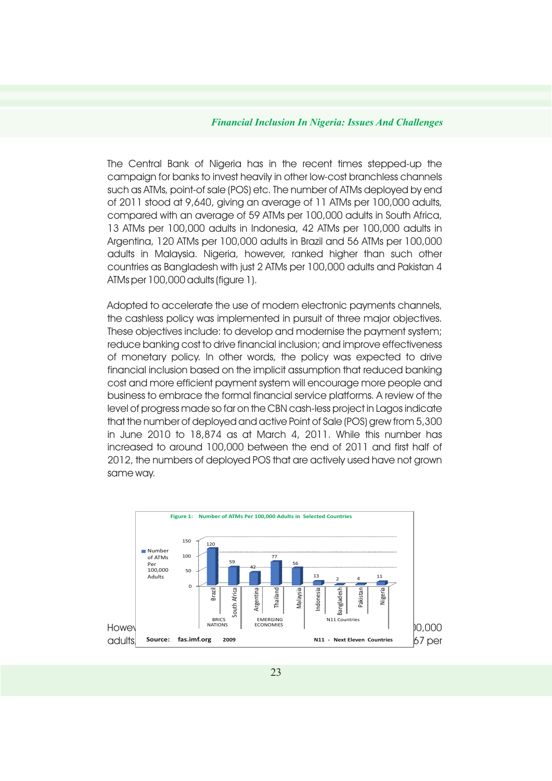The Central Bank of Nigeria has in the recent times stepped-up the campaign for banks to invest heavily in other low-cost branchless channels such as ATMs, point-of sale (POS) etc. The number of ATMs deployed by end of 2011 stood at 9,640, giving an average of 11 ATMs per 100,000 adults, compared with an average of 59 ATMs per 100,000 adults in South Africa, 13 ATMs per 100,000 adults in Indonesia, 42 ATMs per 100,000 adults in Argentina, 120 ATMs per 100,000 adults in Brazil and 56 ATMs per 100,000 adults in Malaysia. Nigeria, however, ranked higher than such other countries as Bangladesh with just 2 ATMs per 100,000 adults and Pakistan 4 ATMs per 100,000 adults (figure 1).

Adopted to accelerate the use of modern electronic payments channels, the cashless policy was implemented in pursuit of three major objectives. These objectives include: to develop and modernise the payment system; reduce banking cost to drive financial inclusion; and improve effectiveness of monetary policy. In other words, the policy was expected to drive financial inclusion based on the implicit assumption that reduced banking cost and more efficient payment system will encourage more people and business to embrace the formal financial service platforms. A review of the level of progress made so far on the CBN cash-less project in Lagos indicate that the number of deployed and active Point of Sale (POS) grew from 5,300 in June 2010 to 18,874 as at March 4, 2011. While this number has increased to around 100,000 between the end of 2011 and first half of 2012, the numbers of deployed POS that are actively used have not grown same way.

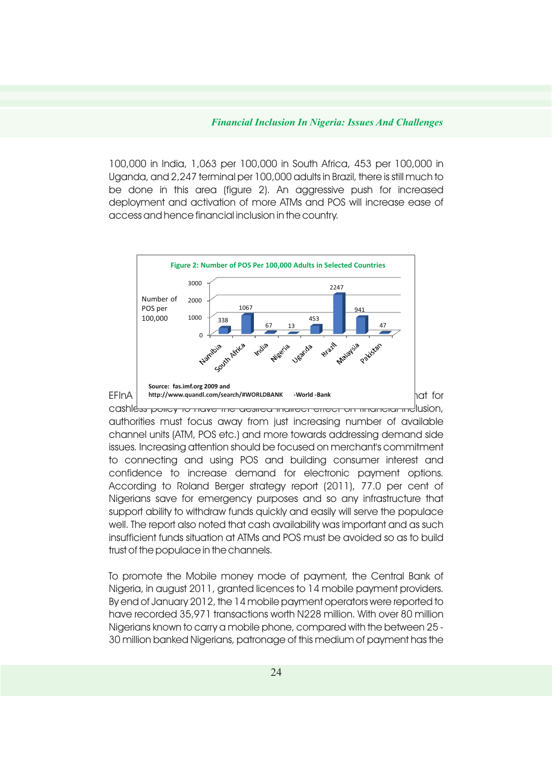100,000 in India, 1,063 per 100,000 in South Africa, 453 per 100,000 in Uganda, and 2,247 terminal per 100,000 adults in Brazil, there is still much to be done in this area (figure 2). An aggressive push for increased deployment and activation of more ATMs and POS will increase ease of access and hence financial inclusion in the country.



cashless policy to have the desired indirect effect on financial inclusion, authorities must focus away from just increasing number of available channel units (ATM, POS etc.) and more towards addressing demand side issues. Increasing attention should be focused on merchant's commitment to connecting and using POS and building consumer interest and confidence to increase demand for electronic payment options. According to Roland Berger strategy report (2011), 77.0 per cent of Nigerians save for emergency purposes and so any infrastructure that support ability to withdraw funds quickly and easily will serve the populace well. The report also noted that cash availability was important and as such insufficient funds situation at ATMs and POS must be avoided so as to build trust of the populace in the channels.

To promote the Mobile money mode of payment, the Central Bank of Nigeria, in august 2011, granted licences to 14 mobile payment providers. By end of January 2012, the 14 mobile payment operators were reported to have recorded 35,971 transactions worth N228 million. With over 80 million Nigerians known to carry a mobile phone, compared with the between 25 - 30 million banked Nigerians, patronage of this medium of payment has the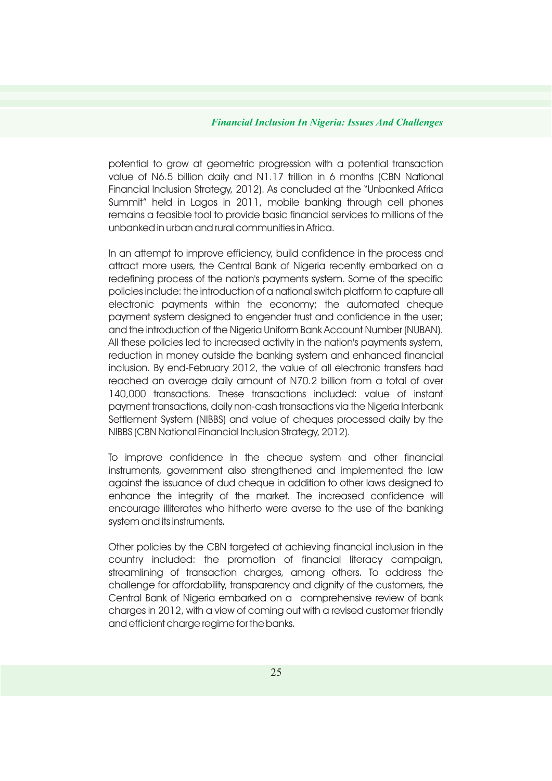potential to grow at geometric progression with a potential transaction value of N6.5 billion daily and N1.17 trillion in 6 months (CBN National Financial Inclusion Strategy, 2012). As concluded at the "Unbanked Africa Summit" held in Lagos in 2011, mobile banking through cell phones remains a feasible tool to provide basic financial services to millions of the unbanked in urban and rural communities in Africa.

In an attempt to improve efficiency, build confidence in the process and attract more users, the Central Bank of Nigeria recently embarked on a redefining process of the nation's payments system. Some of the specific policies include: the introduction of a national switch platform to capture all electronic payments within the economy; the automated cheque payment system designed to engender trust and confidence in the user; and the introduction of the Nigeria Uniform Bank Account Number (NUBAN). All these policies led to increased activity in the nation's payments system, reduction in money outside the banking system and enhanced financial inclusion. By end-February 2012, the value of all electronic transfers had reached an average daily amount of N70.2 billion from a total of over 140,000 transactions. These transactions included: value of instant payment transactions, daily non-cash transactions via the Nigeria Interbank Settlement System (NIBBS) and value of cheques processed daily by the NIBBS (CBN National Financial Inclusion Strategy, 2012).

To improve confidence in the cheque system and other financial instruments, government also strengthened and implemented the law against the issuance of dud cheque in addition to other laws designed to enhance the integrity of the market. The increased confidence will encourage illiterates who hitherto were averse to the use of the banking system and its instruments.

Other policies by the CBN targeted at achieving financial inclusion in the country included: the promotion of financial literacy campaign, streamlining of transaction charges, among others. To address the challenge for affordability, transparency and dignity of the customers, the Central Bank of Nigeria embarked on a comprehensive review of bank charges in 2012, with a view of coming out with a revised customer friendly and efficient charge regime for the banks.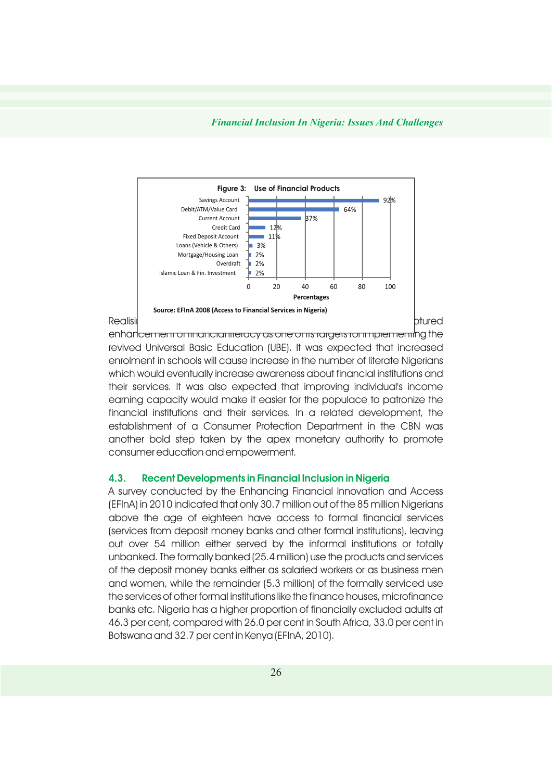

enhancement of financial literacy as one of its targets for implementing the revived Universal Basic Education (UBE). It was expected that increased enrolment in schools will cause increase in the number of literate Nigerians which would eventually increase awareness about financial institutions and their services. It was also expected that improving individual's income earning capacity would make it easier for the populace to patronize the financial institutions and their services. In a related development, the establishment of a Consumer Protection Department in the CBN was another bold step taken by the apex monetary authority to promote consumer education and empowerment.

#### 4.3. Recent Developments in Financial Inclusion in Nigeria

A survey conducted by the Enhancing Financial Innovation and Access (EFInA) in 2010 indicated that only 30.7 million out of the 85 million Nigerians above the age of eighteen have access to formal financial services (services from deposit money banks and other formal institutions), leaving out over 54 million either served by the informal institutions or totally unbanked. The formally banked (25.4 million) use the products and services of the deposit money banks either as salaried workers or as business men and women, while the remainder (5.3 million) of the formally serviced use the services of other formal institutions like the finance houses, microfinance banks etc. Nigeria has a higher proportion of financially excluded adults at 46.3 per cent, compared with 26.0 per cent in South Africa, 33.0 per cent in Botswana and 32.7 per cent in Kenya (EFInA, 2010).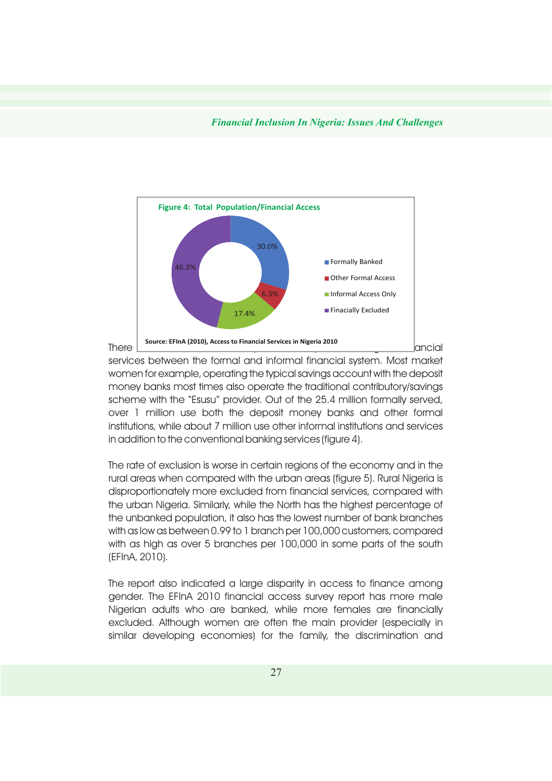

services between the formal and informal financial system. Most market women for example, operating the typical savings account with the deposit money banks most times also operate the traditional contributory/savings scheme with the "Esusu" provider. Out of the 25.4 million formally served, over 1 million use both the deposit money banks and other formal institutions, while about 7 million use other informal institutions and services in addition to the conventional banking services (figure 4).

The rate of exclusion is worse in certain regions of the economy and in the rural areas when compared with the urban areas (figure 5). Rural Nigeria is disproportionately more excluded from financial services, compared with the urban Nigeria. Similarly, while the North has the highest percentage of the unbanked population, it also has the lowest number of bank branches with as low as between 0.99 to 1 branch per 100,000 customers, compared with as high as over 5 branches per 100,000 in some parts of the south (EFInA, 2010).

The report also indicated a large disparity in access to finance among gender. The EFInA 2010 financial access survey report has more male Nigerian adults who are banked, while more females are financially excluded. Although women are often the main provider (especially in similar developing economies) for the family, the discrimination and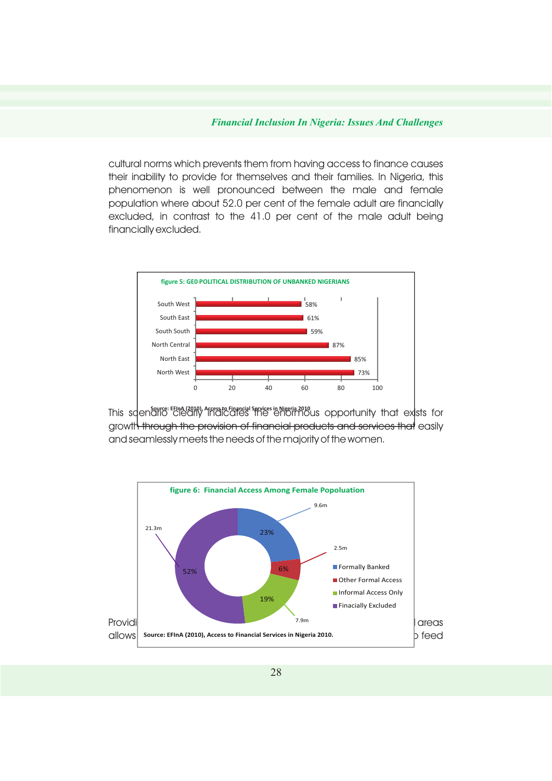cultural norms which prevents them from having access to finance causes their inability to provide for themselves and their families. In Nigeria, this phenomenon is well pronounced between the male and female population where about 52.0 per cent of the female adult are financially excluded, in contrast to the 41.0 per cent of the male adult being financially excluded.



This scenario EFInA (2010), Access to Financial Services in Nigeria 2010<br>This scenario ETECTIV Indicates the enormous opportunity that exists for growth through the provision of financial products and services that easily and seamlessly meets the needs of the majority of the women.

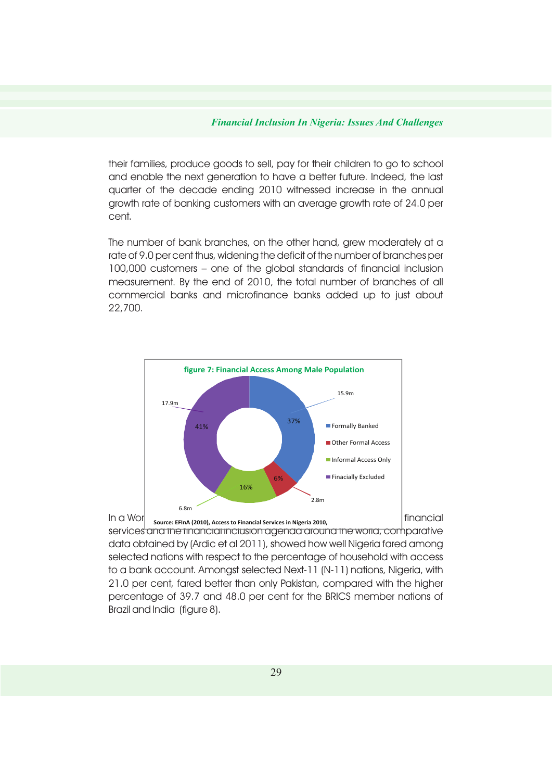their families, produce goods to sell, pay for their children to go to school and enable the next generation to have a better future. Indeed, the last quarter of the decade ending 2010 witnessed increase in the annual growth rate of banking customers with an average growth rate of 24.0 per cent.

The number of bank branches, on the other hand, grew moderately at a rate of 9.0 per cent thus, widening the deficit of the number of branches per 100,000 customers – one of the global standards of financial inclusion measurement. By the end of 2010, the total number of branches of all commercial banks and microfinance banks added up to just about 22,700.



services and the financial inclusion agenda around the world, comparative data obtained by (Ardic et al 2011), showed how well Nigeria fared among selected nations with respect to the percentage of household with access to a bank account. Amongst selected Next-11 (N-11) nations, Nigeria, with 21.0 per cent, fared better than only Pakistan, compared with the higher percentage of 39.7 and 48.0 per cent for the BRICS member nations of Brazil and India (figure 8).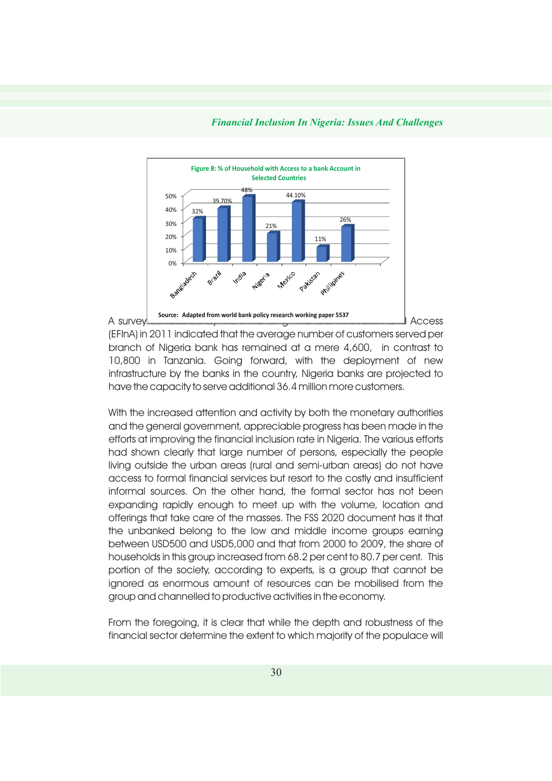

(EFInA) in 2011 indicated that the average number of customers served per branch of Nigeria bank has remained at a mere 4,600, in contrast to 10,800 in Tanzania. Going forward, with the deployment of new infrastructure by the banks in the country, Nigeria banks are projected to have the capacity to serve additional 36.4 million more customers.

With the increased attention and activity by both the monetary authorities and the general government, appreciable progress has been made in the efforts at improving the financial inclusion rate in Nigeria. The various efforts had shown clearly that large number of persons, especially the people living outside the urban areas (rural and semi-urban areas) do not have access to formal financial services but resort to the costly and insufficient informal sources. On the other hand, the formal sector has not been expanding rapidly enough to meet up with the volume, location and offerings that take care of the masses. The FSS 2020 document has it that the unbanked belong to the low and middle income groups earning between USD500 and USD5,000 and that from 2000 to 2009, the share of households in this group increased from 68.2 per cent to 80.7 per cent. This portion of the society, according to experts, is a group that cannot be ignored as enormous amount of resources can be mobilised from the group and channelled to productive activities in the economy.

From the foregoing, it is clear that while the depth and robustness of the financial sector determine the extent to which majority of the populace will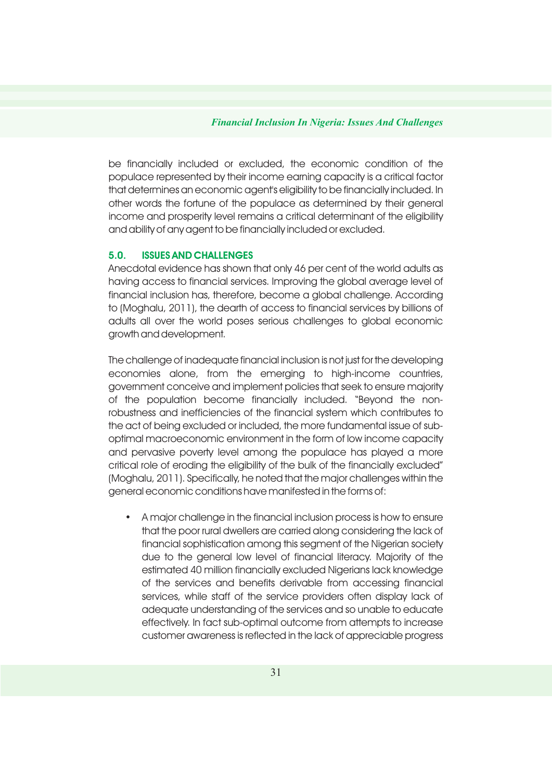be financially included or excluded, the economic condition of the populace represented by their income earning capacity is a critical factor that determines an economic agent's eligibility to be financially included. In other words the fortune of the populace as determined by their general income and prosperity level remains a critical determinant of the eligibility and ability of any agent to be financially included or excluded.

#### 5.0. ISSUES AND CHALLENGES

Anecdotal evidence has shown that only 46 per cent of the world adults as having access to financial services. Improving the global average level of financial inclusion has, therefore, become a global challenge. According to (Moghalu, 2011), the dearth of access to financial services by billions of adults all over the world poses serious challenges to global economic growth and development.

The challenge of inadequate financial inclusion is not just for the developing economies alone, from the emerging to high-income countries, government conceive and implement policies that seek to ensure majority of the population become financially included. "Beyond the nonrobustness and inefficiencies of the financial system which contributes to the act of being excluded or included, the more fundamental issue of suboptimal macroeconomic environment in the form of low income capacity and pervasive poverty level among the populace has played a more critical role of eroding the eligibility of the bulk of the financially excluded" (Moghalu, 2011). Specifically, he noted that the major challenges within the general economic conditions have manifested in the forms of:

• A major challenge in the financial inclusion process is how to ensure that the poor rural dwellers are carried along considering the lack of financial sophistication among this segment of the Nigerian society due to the general low level of financial literacy. Majority of the estimated 40 million financially excluded Nigerians lack knowledge of the services and benefits derivable from accessing financial services, while staff of the service providers often display lack of adequate understanding of the services and so unable to educate effectively. In fact sub-optimal outcome from attempts to increase customer awareness is reflected in the lack of appreciable progress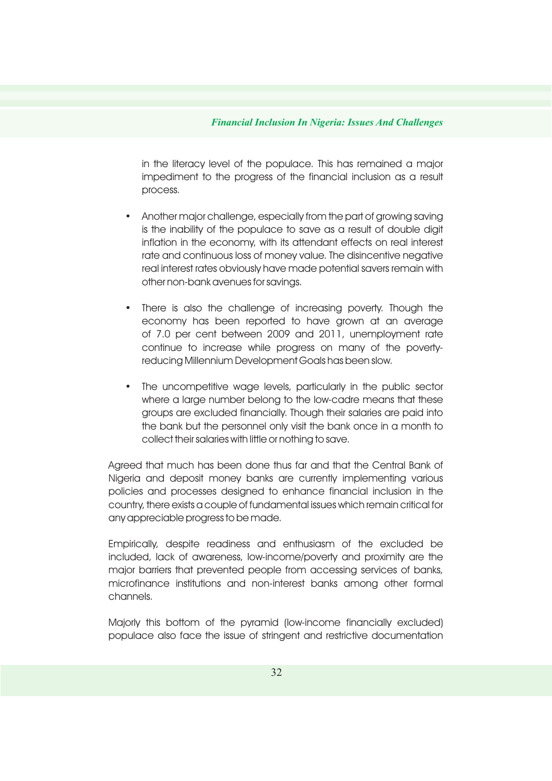in the literacy level of the populace. This has remained a major impediment to the progress of the financial inclusion as a result process.

- Another major challenge, especially from the part of growing saving is the inability of the populace to save as a result of double digit inflation in the economy, with its attendant effects on real interest rate and continuous loss of money value. The disincentive negative real interest rates obviously have made potential savers remain with other non-bank avenues for savings.
- There is also the challenge of increasing poverty. Though the economy has been reported to have grown at an average of 7.0 per cent between 2009 and 2011, unemployment rate continue to increase while progress on many of the povertyreducing Millennium Development Goals has been slow.
- The uncompetitive wage levels, particularly in the public sector where a large number belong to the low-cadre means that these groups are excluded financially. Though their salaries are paid into the bank but the personnel only visit the bank once in a month to collect their salaries with little or nothing to save.

Agreed that much has been done thus far and that the Central Bank of Nigeria and deposit money banks are currently implementing various policies and processes designed to enhance financial inclusion in the country, there exists a couple of fundamental issues which remain critical for any appreciable progress to be made.

Empirically, despite readiness and enthusiasm of the excluded be included, lack of awareness, low-income/poverty and proximity are the major barriers that prevented people from accessing services of banks, microfinance institutions and non-interest banks among other formal channels.

Majorly this bottom of the pyramid (low-income financially excluded) populace also face the issue of stringent and restrictive documentation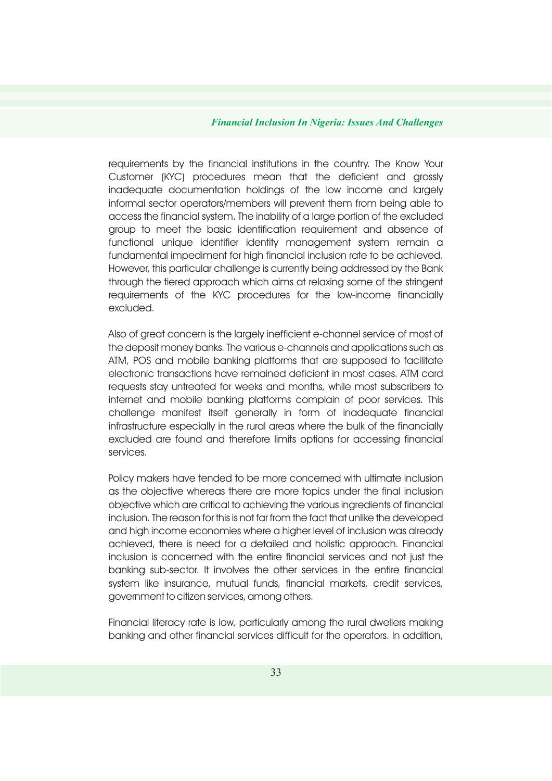requirements by the financial institutions in the country. The Know Your Customer (KYC) procedures mean that the deficient and grossly inadequate documentation holdings of the low income and largely informal sector operators/members will prevent them from being able to access the financial system. The inability of a large portion of the excluded group to meet the basic identification requirement and absence of functional unique identifier identity management system remain a fundamental impediment for high financial inclusion rate to be achieved. However, this particular challenge is currently being addressed by the Bank through the tiered approach which aims at relaxing some of the stringent requirements of the KYC procedures for the low-income financially excluded.

Also of great concern is the largely inefficient e-channel service of most of the deposit money banks. The various e-channels and applications such as ATM, POS and mobile banking platforms that are supposed to facilitate electronic transactions have remained deficient in most cases. ATM card requests stay untreated for weeks and months, while most subscribers to internet and mobile banking platforms complain of poor services. This challenge manifest itself generally in form of inadequate financial infrastructure especially in the rural areas where the bulk of the financially excluded are found and therefore limits options for accessing financial services.

Policy makers have tended to be more concerned with ultimate inclusion as the objective whereas there are more topics under the final inclusion objective which are critical to achieving the various ingredients of financial inclusion. The reason for this is not far from the fact that unlike the developed and high income economies where a higher level of inclusion was already achieved, there is need for a detailed and holistic approach. Financial inclusion is concerned with the entire financial services and not just the banking sub-sector. It involves the other services in the entire financial system like insurance, mutual funds, financial markets, credit services, government to citizen services, among others.

Financial literacy rate is low, particularly among the rural dwellers making banking and other financial services difficult for the operators. In addition,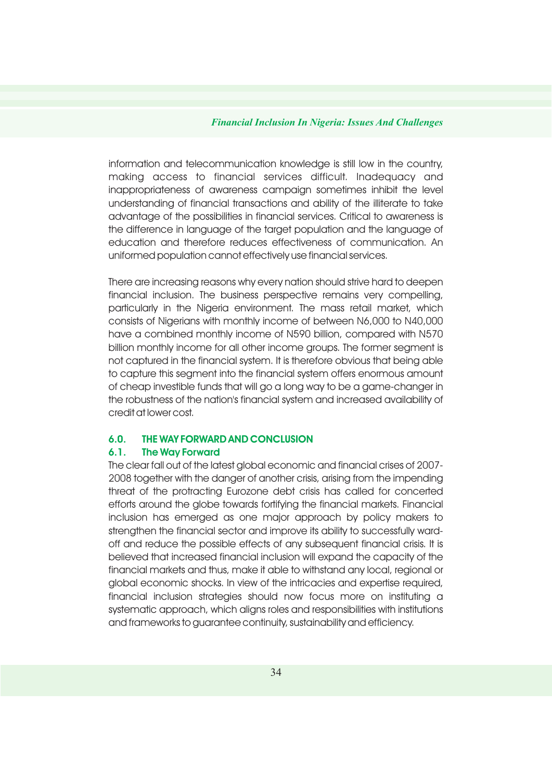information and telecommunication knowledge is still low in the country, making access to financial services difficult. Inadequacy and inappropriateness of awareness campaign sometimes inhibit the level understanding of financial transactions and ability of the illiterate to take advantage of the possibilities in financial services. Critical to awareness is the difference in language of the target population and the language of education and therefore reduces effectiveness of communication. An uniformed population cannot effectively use financial services.

There are increasing reasons why every nation should strive hard to deepen financial inclusion. The business perspective remains very compelling, particularly in the Nigeria environment. The mass retail market, which consists of Nigerians with monthly income of between N6,000 to N40,000 have a combined monthly income of N590 billion, compared with N570 billion monthly income for all other income groups. The former segment is not captured in the financial system. It is therefore obvious that being able to capture this segment into the financial system offers enormous amount of cheap investible funds that will go a long way to be a game-changer in the robustness of the nation's financial system and increased availability of credit at lower cost.

#### 6.0. THE WAY FORWARD AND CONCLUSION

#### 6.1. The Way Forward

The clear fall out of the latest global economic and financial crises of 2007- 2008 together with the danger of another crisis, arising from the impending threat of the protracting Eurozone debt crisis has called for concerted efforts around the globe towards fortifying the financial markets. Financial inclusion has emerged as one major approach by policy makers to strengthen the financial sector and improve its ability to successfully wardoff and reduce the possible effects of any subsequent financial crisis. It is believed that increased financial inclusion will expand the capacity of the financial markets and thus, make it able to withstand any local, regional or global economic shocks. In view of the intricacies and expertise required, financial inclusion strategies should now focus more on instituting a systematic approach, which aligns roles and responsibilities with institutions and frameworks to guarantee continuity, sustainability and efficiency.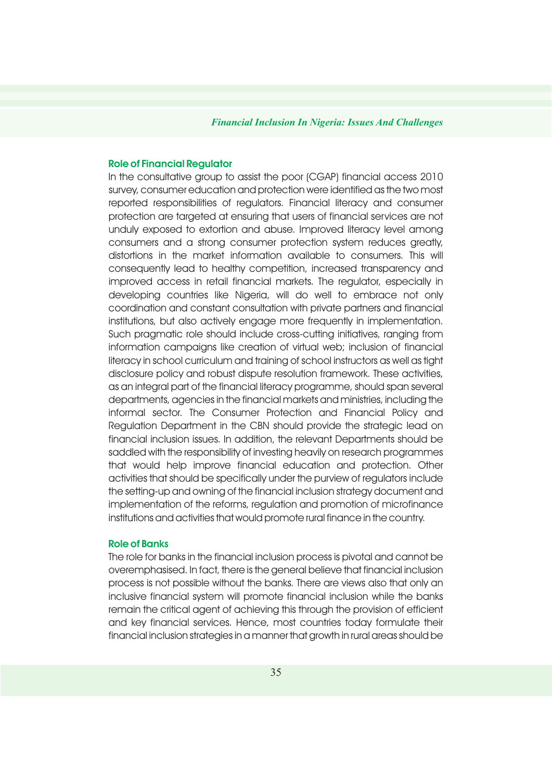#### Role of Financial Regulator

In the consultative group to assist the poor (CGAP) financial access 2010 survey, consumer education and protection were identified as the two most reported responsibilities of regulators. Financial literacy and consumer protection are targeted at ensuring that users of financial services are not unduly exposed to extortion and abuse. Improved literacy level among consumers and a strong consumer protection system reduces greatly, distortions in the market information available to consumers. This will consequently lead to healthy competition, increased transparency and improved access in retail financial markets. The regulator, especially in developing countries like Nigeria, will do well to embrace not only coordination and constant consultation with private partners and financial institutions, but also actively engage more frequently in implementation. Such pragmatic role should include cross-cutting initiatives, ranging from information campaigns like creation of virtual web; inclusion of financial literacy in school curriculum and training of school instructors as well as tight disclosure policy and robust dispute resolution framework. These activities, as an integral part of the financial literacy programme, should span several departments, agencies in the financial markets and ministries, including the informal sector. The Consumer Protection and Financial Policy and Regulation Department in the CBN should provide the strategic lead on financial inclusion issues. In addition, the relevant Departments should be saddled with the responsibility of investing heavily on research programmes that would help improve financial education and protection. Other activities that should be specifically under the purview of regulators include the setting-up and owning of the financial inclusion strategy document and implementation of the reforms, regulation and promotion of microfinance institutions and activities that would promote rural finance in the country.

#### Role of Banks

The role for banks in the financial inclusion process is pivotal and cannot be overemphasised. In fact, there is the general believe that financial inclusion process is not possible without the banks. There are views also that only an inclusive financial system will promote financial inclusion while the banks remain the critical agent of achieving this through the provision of efficient and key financial services. Hence, most countries today formulate their financial inclusion strategies in a manner that growth in rural areas should be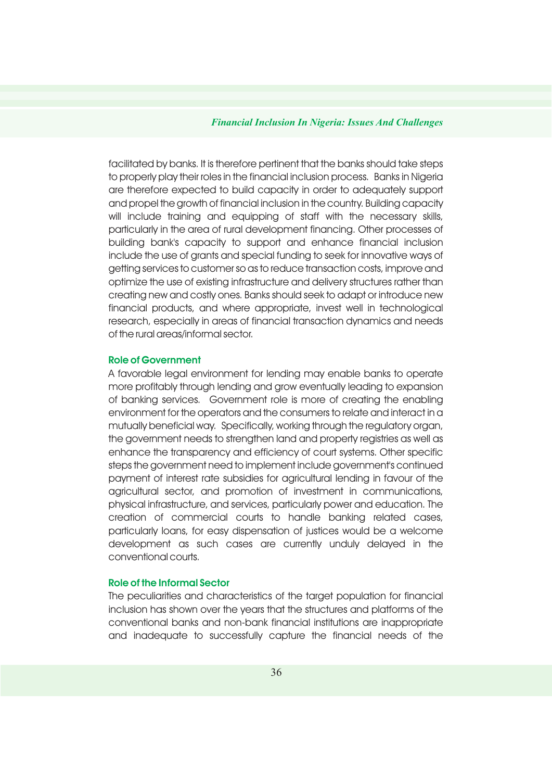facilitated by banks. It is therefore pertinent that the banks should take steps to properly play their roles in the financial inclusion process. Banks in Nigeria are therefore expected to build capacity in order to adequately support and propel the growth of financial inclusion in the country. Building capacity will include training and equipping of staff with the necessary skills, particularly in the area of rural development financing. Other processes of building bank's capacity to support and enhance financial inclusion include the use of grants and special funding to seek for innovative ways of getting services to customer so as to reduce transaction costs, improve and optimize the use of existing infrastructure and delivery structures rather than creating new and costly ones. Banks should seek to adapt or introduce new financial products, and where appropriate, invest well in technological research, especially in areas of financial transaction dynamics and needs of the rural areas/informal sector.

#### Role of Government

A favorable legal environment for lending may enable banks to operate more profitably through lending and grow eventually leading to expansion of banking services. Government role is more of creating the enabling environment for the operators and the consumers to relate and interact in a mutually beneficial way. Specifically, working through the regulatory organ, the government needs to strengthen land and property registries as well as enhance the transparency and efficiency of court systems. Other specific steps the government need to implement include government's continued payment of interest rate subsidies for agricultural lending in favour of the agricultural sector, and promotion of investment in communications, physical infrastructure, and services, particularly power and education. The creation of commercial courts to handle banking related cases, particularly loans, for easy dispensation of justices would be a welcome development as such cases are currently unduly delayed in the conventional courts.

#### Role of the Informal Sector

The peculiarities and characteristics of the target population for financial inclusion has shown over the years that the structures and platforms of the conventional banks and non-bank financial institutions are inappropriate and inadequate to successfully capture the financial needs of the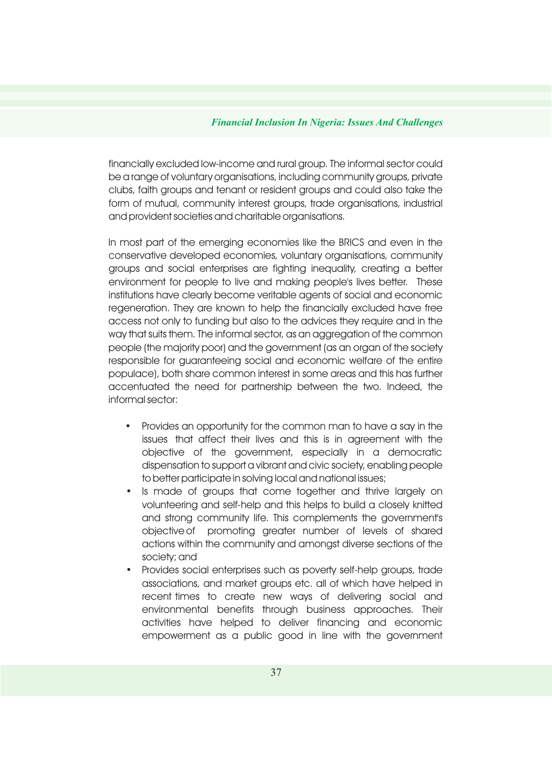financially excluded low-income and rural group. The informal sector could be a range of voluntary organisations, including community groups, private clubs, faith groups and tenant or resident groups and could also take the form of mutual, community interest groups, trade organisations, industrial and provident societies and charitable organisations.

In most part of the emerging economies like the BRICS and even in the conservative developed economies, voluntary organisations, community groups and social enterprises are fighting inequality, creating a better environment for people to live and making people's lives better. These institutions have clearly become veritable agents of social and economic regeneration. They are known to help the financially excluded have free access not only to funding but also to the advices they require and in the way that suits them. The informal sector, as an aggregation of the common people (the majority poor) and the government (as an organ of the society responsible for guaranteeing social and economic welfare of the entire populace), both share common interest in some areas and this has further accentuated the need for partnership between the two. Indeed, the informal sector:

- Provides an opportunity for the common man to have a say in the issues that affect their lives and this is in agreement with the objective of the government, especially in a democratic dispensation to support a vibrant and civic society, enabling people to better participate in solving local and national issues;
- Is made of groups that come together and thrive largely on volunteering and self-help and this helps to build a closely knitted and strong community life. This complements the government's objective of promoting greater number of levels of shared actions within the community and amongst diverse sections of the society; and
- Provides social enterprises such as poverty self-help groups, trade associations, and market groups etc. all of which have helped in recent times to create new ways of delivering social and environmental benefits through business approaches. Their activities have helped to deliver financing and economic empowerment as a public good in line with the government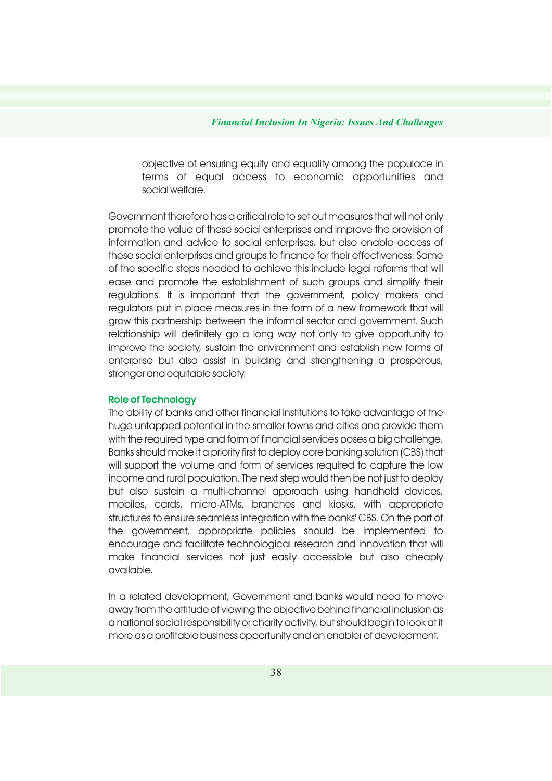objective of ensuring equity and equality among the populace in terms of equal access to economic opportunities and social welfare.

Government therefore has a critical role to set out measures that will not only promote the value of these social enterprises and improve the provision of information and advice to social enterprises, but also enable access of these social enterprises and groups to finance for their effectiveness. Some of the specific steps needed to achieve this include legal reforms that will ease and promote the establishment of such groups and simplify their regulations. It is important that the government, policy makers and regulators put in place measures in the form of a new framework that will grow this partnership between the informal sector and government. Such relationship will definitely go a long way not only to give opportunity to improve the society, sustain the environment and establish new forms of enterprise but also assist in building and strengthening a prosperous, stronger and equitable society.

#### Role of Technology

The ability of banks and other financial institutions to take advantage of the huge untapped potential in the smaller towns and cities and provide them with the required type and form of financial services poses a big challenge. Banks should make it a priority first to deploy core banking solution (CBS) that will support the volume and form of services required to capture the low income and rural population. The next step would then be not just to deploy but also sustain a multi-channel approach using handheld devices, mobiles, cards, micro-ATMs, branches and kiosks, with appropriate structures to ensure seamless integration with the banks' CBS. On the part of the government, appropriate policies should be implemented to encourage and facilitate technological research and innovation that will make financial services not just easily accessible but also cheaply available.

In a related development, Government and banks would need to move away from the attitude of viewing the objective behind financial inclusion as a national social responsibility or charity activity, but should begin to look at it more as a profitable business opportunity and an enabler of development.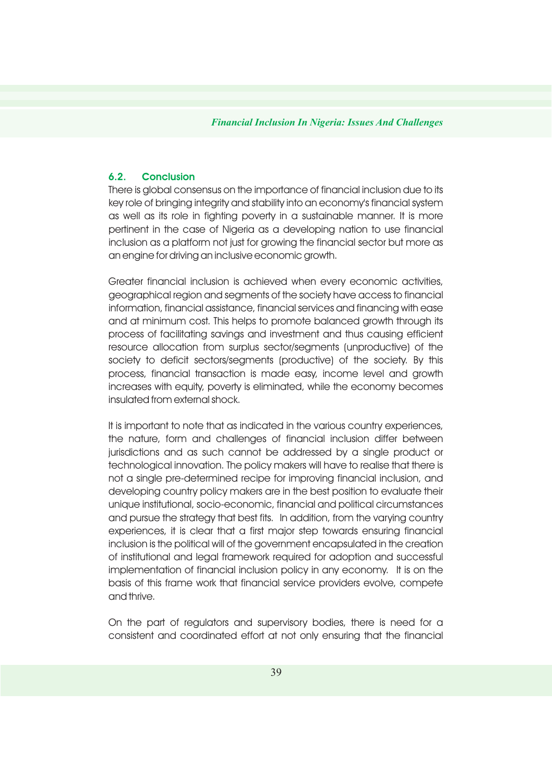#### 6.2. Conclusion

There is global consensus on the importance of financial inclusion due to its key role of bringing integrity and stability into an economy's financial system as well as its role in fighting poverty in a sustainable manner. It is more pertinent in the case of Nigeria as a developing nation to use financial inclusion as a platform not just for growing the financial sector but more as an engine for driving an inclusive economic growth.

Greater financial inclusion is achieved when every economic activities, geographical region and segments of the society have access to financial information, financial assistance, financial services and financing with ease and at minimum cost. This helps to promote balanced growth through its process of facilitating savings and investment and thus causing efficient resource allocation from surplus sector/segments (unproductive) of the society to deficit sectors/segments (productive) of the society. By this process, financial transaction is made easy, income level and growth increases with equity, poverty is eliminated, while the economy becomes insulated from external shock.

It is important to note that as indicated in the various country experiences, the nature, form and challenges of financial inclusion differ between jurisdictions and as such cannot be addressed by a single product or technological innovation. The policy makers will have to realise that there is not a single pre-determined recipe for improving financial inclusion, and developing country policy makers are in the best position to evaluate their unique institutional, socio-economic, financial and political circumstances and pursue the strategy that best fits. In addition, from the varying country experiences, it is clear that a first major step towards ensuring financial inclusion is the political will of the government encapsulated in the creation of institutional and legal framework required for adoption and successful implementation of financial inclusion policy in any economy. It is on the basis of this frame work that financial service providers evolve, compete and thrive.

On the part of regulators and supervisory bodies, there is need for a consistent and coordinated effort at not only ensuring that the financial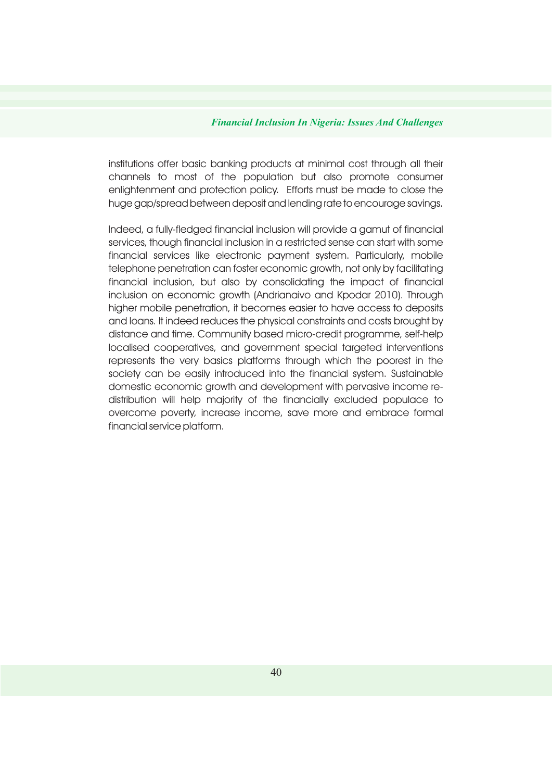institutions offer basic banking products at minimal cost through all their channels to most of the population but also promote consumer enlightenment and protection policy. Efforts must be made to close the huge gap/spread between deposit and lending rate to encourage savings.

Indeed, a fully-fledged financial inclusion will provide a gamut of financial services, though financial inclusion in a restricted sense can start with some financial services like electronic payment system. Particularly, mobile telephone penetration can foster economic growth, not only by facilitating financial inclusion, but also by consolidating the impact of financial inclusion on economic growth (Andrianaivo and Kpodar 2010). Through higher mobile penetration, it becomes easier to have access to deposits and loans. It indeed reduces the physical constraints and costs brought by distance and time. Community based micro-credit programme, self-help localised cooperatives, and government special targeted interventions represents the very basics platforms through which the poorest in the society can be easily introduced into the financial system. Sustainable domestic economic growth and development with pervasive income redistribution will help majority of the financially excluded populace to overcome poverty, increase income, save more and embrace formal financial service platform.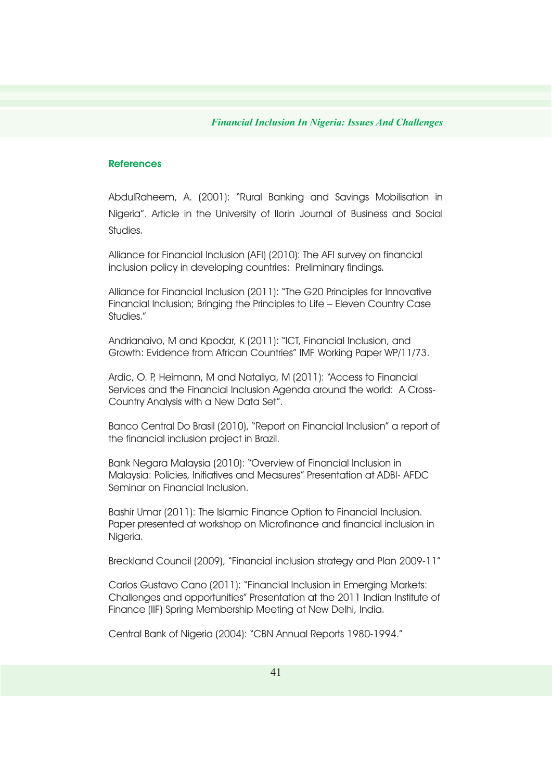#### **References**

AbdulRaheem, A. (2001): "Rural Banking and Savings Mobilisation in Nigeria". Article in the University of Ilorin Journal of Business and Social Studies.

Alliance for Financial Inclusion (AFI) (2010): The AFI survey on financial inclusion policy in developing countries: Preliminary findings.

Alliance for Financial Inclusion (2011): "The G20 Principles for Innovative Financial Inclusion; Bringing the Principles to Life – Eleven Country Case Studies."

Andrianaivo, M and Kpodar, K (2011): "ICT, Financial Inclusion, and Growth: Evidence from African Countries" IMF Working Paper WP/11/73.

Ardic, O. P, Heimann, M and Nataliya, M (2011): "Access to Financial Services and the Financial Inclusion Agenda around the world: A Cross-Country Analysis with a New Data Set".

Banco Central Do Brasil (2010), "Report on Financial Inclusion" a report of the financial inclusion project in Brazil.

Bank Negara Malaysia (2010): "Overview of Financial Inclusion in Malaysia: Policies, Initiatives and Measures" Presentation at ADBI- AFDC Seminar on Financial Inclusion.

Bashir Umar (2011): The Islamic Finance Option to Financial Inclusion. Paper presented at workshop on Microfinance and financial inclusion in Nigeria.

Breckland Council (2009), "Financial inclusion strategy and Plan 2009-11"

Carlos Gustavo Cano (2011): "Financial Inclusion in Emerging Markets: Challenges and opportunities" Presentation at the 2011 Indian Institute of Finance (IIF) Spring Membership Meeting at New Delhi, India.

Central Bank of Nigeria (2004): "CBN Annual Reports 1980-1994."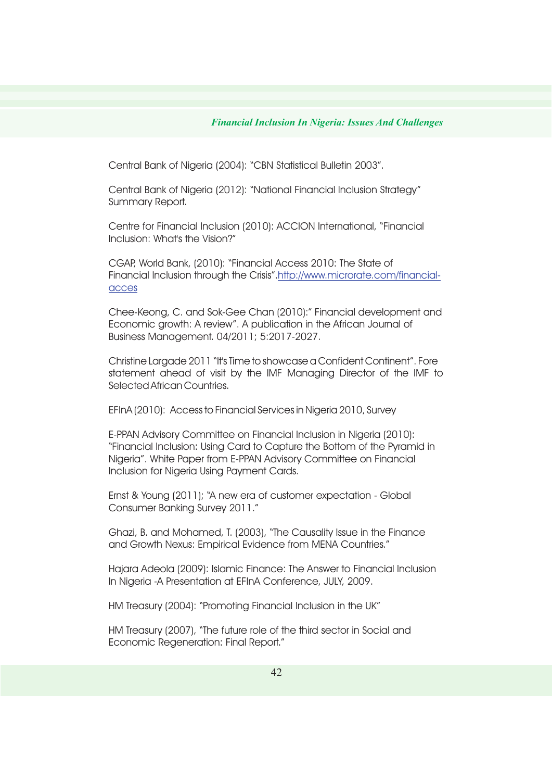Central Bank of Nigeria (2004): "CBN Statistical Bulletin 2003".

Central Bank of Nigeria (2012): "National Financial Inclusion Strategy" Summary Report.

Centre for Financial Inclusion (2010): ACCION International, "Financial Inclusion: What's the Vision?"

CGAP, World Bank, (2010): "Financial Access 2010: The State of Financial Inclusion through the Crisis".http://www.microrate.com/financialacces

Chee-Keong, C. and Sok-Gee Chan (2010):" Financial development and Economic growth: A review". A publication in the African Journal of Business Management. 04/2011; 5:2017-2027.

Christine Largade 2011 "It's Time to showcase a Confident Continent". Fore statement ahead of visit by the IMF Managing Director of the IMF to Selected African Countries.

EFInA (2010): Access to Financial Services in Nigeria 2010, Survey

E-PPAN Advisory Committee on Financial Inclusion in Nigeria (2010): "Financial Inclusion: Using Card to Capture the Bottom of the Pyramid in Nigeria". White Paper from E-PPAN Advisory Committee on Financial Inclusion for Nigeria Using Payment Cards.

Ernst & Young (2011); "A new era of customer expectation - Global Consumer Banking Survey 2011."

Ghazi, B. and Mohamed, T. (2003), "The Causality Issue in the Finance and Growth Nexus: Empirical Evidence from MENA Countries."

Hajara Adeola (2009): Islamic Finance: The Answer to Financial Inclusion In Nigeria -A Presentation at EFInA Conference, JULY, 2009.

HM Treasury (2004): "Promoting Financial Inclusion in the UK"

HM Treasury (2007), "The future role of the third sector in Social and Economic Regeneration: Final Report."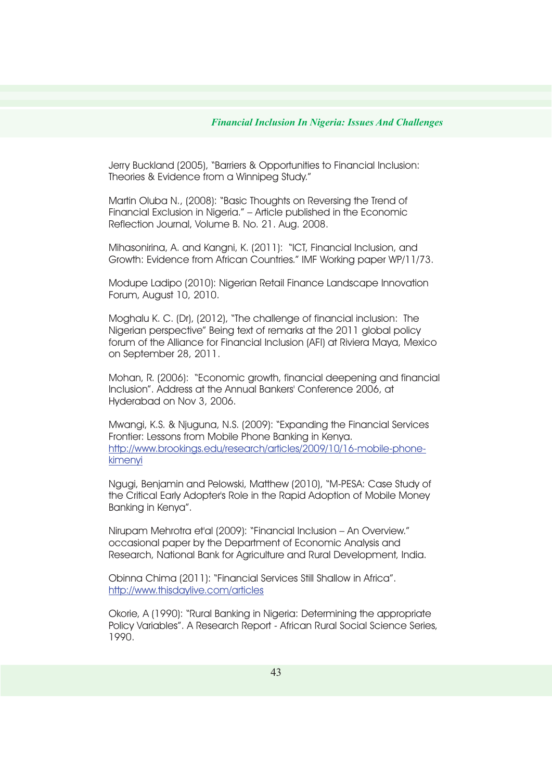Jerry Buckland (2005), "Barriers & Opportunities to Financial Inclusion: Theories & Evidence from a Winnipeg Study."

Martin Oluba N., (2008): "Basic Thoughts on Reversing the Trend of Financial Exclusion in Nigeria." – Article published in the Economic Reflection Journal, Volume B. No. 21. Aug. 2008.

Mihasonirina, A. and Kangni, K. (2011): "ICT, Financial Inclusion, and Growth: Evidence from African Countries." IMF Working paper WP/11/73.

Modupe Ladipo (2010): Nigerian Retail Finance Landscape Innovation Forum, August 10, 2010.

Moghalu K. C. (Dr), (2012), "The challenge of financial inclusion: The Nigerian perspective" Being text of remarks at the 2011 global policy forum of the Alliance for Financial Inclusion (AFI) at Riviera Maya, Mexico on September 28, 2011.

Mohan, R. (2006): "Economic growth, financial deepening and financial Inclusion". Address at the Annual Bankers' Conference 2006, at Hyderabad on Nov 3, 2006.

Mwangi, K.S. & Njuguna, N.S. (2009): "Expanding the Financial Services Frontier: Lessons from Mobile Phone Banking in Kenya. http://www.brookings.edu/research/articles/2009/10/16-mobile-phonekimenyi

Ngugi, Benjamin and Pelowski, Matthew (2010), "M-PESA: Case Study of the Critical Early Adopter's Role in the Rapid Adoption of Mobile Money Banking in Kenya".

Nirupam Mehrotra et'al (2009): "Financial Inclusion – An Overview." occasional paper by the Department of Economic Analysis and Research, National Bank for Agriculture and Rural Development, India.

Obinna Chima (2011): "Financial Services Still Shallow in Africa". http://www.thisdaylive.com/articles

Okorie, A (1990): "Rural Banking in Nigeria: Determining the appropriate Policy Variables". A Research Report - African Rural Social Science Series, 1990.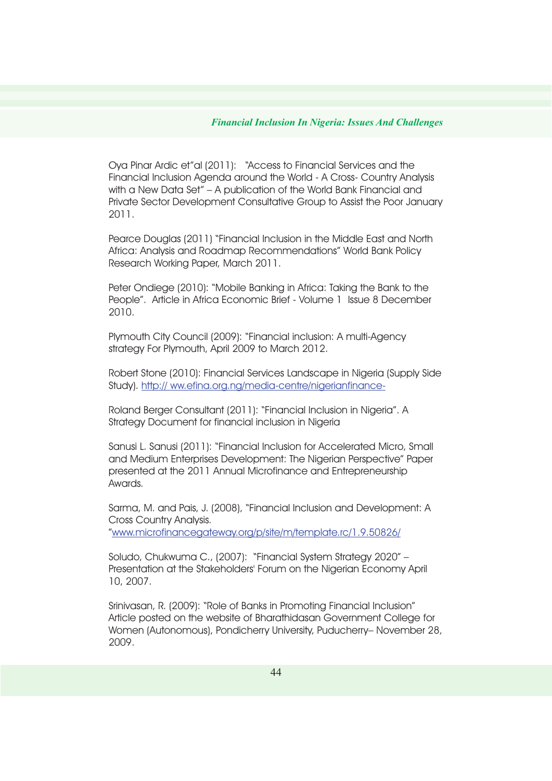Oya Pinar Ardic et"al (2011): "Access to Financial Services and the Financial Inclusion Agenda around the World - A Cross- Country Analysis with a New Data Set" – A publication of the World Bank Financial and Private Sector Development Consultative Group to Assist the Poor January 2011.

Pearce Douglas (2011) "Financial Inclusion in the Middle East and North Africa: Analysis and Roadmap Recommendations" World Bank Policy Research Working Paper, March 2011.

Peter Ondiege (2010): "Mobile Banking in Africa: Taking the Bank to the People". Article in Africa Economic Brief - Volume 1 Issue 8 December 2010.

Plymouth City Council (2009): "Financial inclusion: A multi-Agency strategy For Plymouth, April 2009 to March 2012.

Robert Stone (2010): Financial Services Landscape in Nigeria (Supply Side Study). http:// ww.efina.org.ng/media-centre/nigerianfinance-

Roland Berger Consultant (2011): "Financial Inclusion in Nigeria". A Strategy Document for financial inclusion in Nigeria

Sanusi L. Sanusi (2011): "Financial Inclusion for Accelerated Micro, Small and Medium Enterprises Development: The Nigerian Perspective" Paper presented at the 2011 Annual Microfinance and Entrepreneurship Awards.

Sarma, M. and Pais, J. (2008), "Financial Inclusion and Development: A Cross Country Analysis. "www.microfinancegateway.org/p/site/m/template.rc/1.9.50826/

Soludo, Chukwuma C., (2007): "Financial System Strategy 2020" – Presentation at the Stakeholders' Forum on the Nigerian Economy April 10, 2007.

Srinivasan, R. (2009): "Role of Banks in Promoting Financial Inclusion" Article posted on the website of Bharathidasan Government College for Women (Autonomous), Pondicherry University, Puducherry– November 28, 2009.